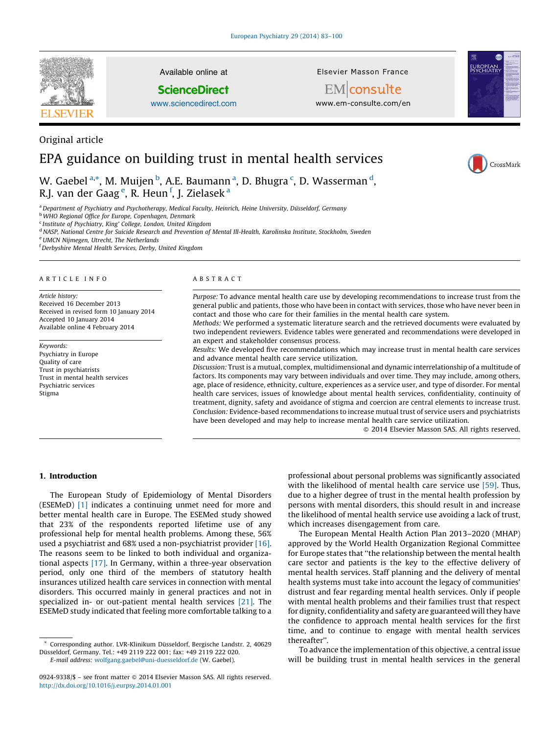

Original article

Available online at

**ScienceDirect** 

[www.sciencedirect.com](http://www.sciencedirect.com/science/journal/09249338)

Elsevier Masson France



CrossMark

EMconsulte www.em-consulte.com/en

# EPA guidance on building trust in mental health services

W. Gaebel <sup>a,</sup>\*, M. Muijen <sup>b</sup>, A.E. Baumann <sup>a</sup>, D. Bhugra <sup>c</sup>, D. Wasserman <sup>d</sup>, R.J. van der Gaag<sup>e</sup>, R. Heun<sup>f</sup>, J. Zielasek <sup>a</sup>

a Department of Psychiatry and Psychotherapy, Medical Faculty, Heinrich, Heine University, Düsseldorf, Germany

**b WHO Regional Office for Europe, Copenhagen, Denmark** 

<sup>c</sup> Institute of Psychiatry, King' College, London, United Kingdom

<sup>d</sup> NASP, National Centre for Suicide Research and Prevention of Mental Ill-Health, Karolinska Institute, Stockholm, Sweden

<sup>e</sup>UMCN Nijmegen, Utrecht, The Netherlands

f Derbyshire Mental Health Services, Derby, United Kingdom

#### A R T I C L E I N F O

Article history: Received 16 December 2013 Received in revised form 10 January 2014 Accepted 10 January 2014 Available online 4 February 2014

Keywords: Psychiatry in Europe Quality of care Trust in psychiatrists Trust in mental health services Psychiatric services Stigma

## A B S T R A C T

Purpose: To advance mental health care use by developing recommendations to increase trust from the general public and patients, those who have been in contact with services, those who have never been in contact and those who care for their families in the mental health care system.

Methods: We performed a systematic literature search and the retrieved documents were evaluated by two independent reviewers. Evidence tables were generated and recommendations were developed in an expert and stakeholder consensus process.

Results: We developed five recommendations which may increase trust in mental health care services and advance mental health care service utilization.

Discussion: Trust is a mutual, complex, multidimensional and dynamic interrelationship of a multitude of factors. Its components may vary between individuals and over time. They may include, among others, age, place of residence, ethnicity, culture, experiences as a service user, and type of disorder. For mental health care services, issues of knowledge about mental health services, confidentiality, continuity of treatment, dignity, safety and avoidance of stigma and coercion are central elements to increase trust. Conclusion: Evidence-based recommendations to increase mutual trust of service users and psychiatrists have been developed and may help to increase mental health care service utilization.

 $\odot$  2014 Elsevier Masson SAS. All rights reserved.

## 1. Introduction

The European Study of Epidemiology of Mental Disorders (ESEMeD) [\[1\]](#page-16-0) indicates a continuing unmet need for more and better mental health care in Europe. The ESEMed study showed that 23% of the respondents reported lifetime use of any professional help for mental health problems. Among these, 56% used a psychiatrist and 68% used a non-psychiatrist provider [\[16\].](#page-17-0) The reasons seem to be linked to both individual and organizational aspects [\[17\]](#page-17-0). In Germany, within a three-year observation period, only one third of the members of statutory health insurances utilized health care services in connection with mental disorders. This occurred mainly in general practices and not in specialized in- or out-patient mental health services [\[21\]](#page-17-0). The ESEMeD study indicated that feeling more comfortable talking to a

Corresponding author. LVR-Klinikum Düsseldorf, Bergische Landstr. 2, 40629 Düsseldorf, Germany. Tel.: +49 2119 222 001; fax: +49 2119 222 020. E-mail address: [wolfgang.gaebel@uni-duesseldorf.de](mailto:wolfgang.gaebel@uni-duesseldorf.de) (W. Gaebel).

professional about personal problems was significantly associated with the likelihood of mental health care service use [\[59\]](#page-17-0). Thus, due to a higher degree of trust in the mental health profession by persons with mental disorders, this should result in and increase the likelihood of mental health service use avoiding a lack of trust, which increases disengagement from care.

The European Mental Health Action Plan 2013–2020 (MHAP) approved by the World Health Organization Regional Committee for Europe states that ''the relationship between the mental health care sector and patients is the key to the effective delivery of mental health services. Staff planning and the delivery of mental health systems must take into account the legacy of communities' distrust and fear regarding mental health services. Only if people with mental health problems and their families trust that respect for dignity, confidentiality and safety are guaranteed will they have the confidence to approach mental health services for the first time, and to continue to engage with mental health services thereafter''.

To advance the implementation of this objective, a central issue will be building trust in mental health services in the general

<sup>0924-9338/\$ –</sup> see front matter © 2014 Elsevier Masson SAS. All rights reserved. <http://dx.doi.org/10.1016/j.eurpsy.2014.01.001>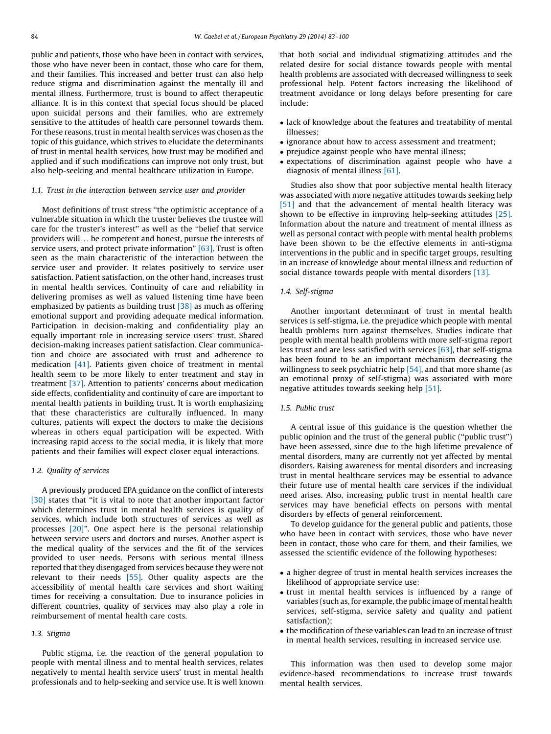public and patients, those who have been in contact with services, those who have never been in contact, those who care for them, and their families. This increased and better trust can also help reduce stigma and discrimination against the mentally ill and mental illness. Furthermore, trust is bound to affect therapeutic alliance. It is in this context that special focus should be placed upon suicidal persons and their families, who are extremely sensitive to the attitudes of health care personnel towards them. For these reasons, trust in mental health services was chosen as the topic of this guidance, which strives to elucidate the determinants of trust in mental health services, how trust may be modified and applied and if such modifications can improve not only trust, but also help-seeking and mental healthcare utilization in Europe.

#### 1.1. Trust in the interaction between service user and provider

Most definitions of trust stress ''the optimistic acceptance of a vulnerable situation in which the truster believes the trustee will care for the truster's interest'' as well as the ''belief that service providers will. . . be competent and honest, pursue the interests of service users, and protect private information" [\[63\].](#page-17-0) Trust is often seen as the main characteristic of the interaction between the service user and provider. It relates positively to service user satisfaction. Patient satisfaction, on the other hand, increases trust in mental health services. Continuity of care and reliability in delivering promises as well as valued listening time have been emphasized by patients as building trust [\[38\]](#page-17-0) as much as offering emotional support and providing adequate medical information. Participation in decision-making and confidentiality play an equally important role in increasing service users' trust. Shared decision-making increases patient satisfaction. Clear communication and choice are associated with trust and adherence to medication [\[41\].](#page-17-0) Patients given choice of treatment in mental health seem to be more likely to enter treatment and stay in treatment [\[37\]](#page-17-0). Attention to patients' concerns about medication side effects, confidentiality and continuity of care are important to mental health patients in building trust. It is worth emphasizing that these characteristics are culturally influenced. In many cultures, patients will expect the doctors to make the decisions whereas in others equal participation will be expected. With increasing rapid access to the social media, it is likely that more patients and their families will expect closer equal interactions.

#### 1.2. Quality of services

A previously produced EPA guidance on the conflict of interests [\[30\]](#page-17-0) states that "it is vital to note that another important factor which determines trust in mental health services is quality of services, which include both structures of services as well as processes [\[20\]'](#page-17-0)'. One aspect here is the personal relationship between service users and doctors and nurses. Another aspect is the medical quality of the services and the fit of the services provided to user needs. Persons with serious mental illness reported that they disengaged from services because they were not relevant to their needs [\[55\].](#page-17-0) Other quality aspects are the accessibility of mental health care services and short waiting times for receiving a consultation. Due to insurance policies in different countries, quality of services may also play a role in reimbursement of mental health care costs.

## 1.3. Stigma

Public stigma, i.e. the reaction of the general population to people with mental illness and to mental health services, relates negatively to mental health service users' trust in mental health professionals and to help-seeking and service use. It is well known that both social and individual stigmatizing attitudes and the related desire for social distance towards people with mental health problems are associated with decreased willingness to seek professional help. Potent factors increasing the likelihood of treatment avoidance or long delays before presenting for care include:

- lack of knowledge about the features and treatability of mental illnesses;
- ignorance about how to access assessment and treatment;
- prejudice against people who have mental illness;
- expectations of discrimination against people who have a diagnosis of mental illness [\[61\].](#page-17-0)

Studies also show that poor subjective mental health literacy was associated with more negative attitudes towards seeking help [\[51\]](#page-17-0) and that the advancement of mental health literacy was shown to be effective in improving help-seeking attitudes [\[25\].](#page-17-0) Information about the nature and treatment of mental illness as well as personal contact with people with mental health problems have been shown to be the effective elements in anti-stigma interventions in the public and in specific target groups, resulting in an increase of knowledge about mental illness and reduction of social distance towards people with mental disorders [\[13\].](#page-17-0)

## 1.4. Self-stigma

Another important determinant of trust in mental health services is self-stigma, i.e. the prejudice which people with mental health problems turn against themselves. Studies indicate that people with mental health problems with more self-stigma report less trust and are less satisfied with services [\[63\]](#page-17-0), that self-stigma has been found to be an important mechanism decreasing the willingness to seek psychiatric help [\[54\]](#page-17-0), and that more shame (as an emotional proxy of self-stigma) was associated with more negative attitudes towards seeking help [\[51\]](#page-17-0).

## 1.5. Public trust

A central issue of this guidance is the question whether the public opinion and the trust of the general public (''public trust'') have been assessed, since due to the high lifetime prevalence of mental disorders, many are currently not yet affected by mental disorders. Raising awareness for mental disorders and increasing trust in mental healthcare services may be essential to advance their future use of mental health care services if the individual need arises. Also, increasing public trust in mental health care services may have beneficial effects on persons with mental disorders by effects of general reinforcement.

To develop guidance for the general public and patients, those who have been in contact with services, those who have never been in contact, those who care for them, and their families, we assessed the scientific evidence of the following hypotheses:

- a higher degree of trust in mental health services increases the likelihood of appropriate service use;
- trust in mental health services is influenced by a range of variables (such as, for example, the public image of mental health services, self-stigma, service safety and quality and patient satisfaction);
- $\bullet\,$  the modification of these variables can lead to an increase of trust in mental health services, resulting in increased service use.

This information was then used to develop some major evidence-based recommendations to increase trust towards mental health services.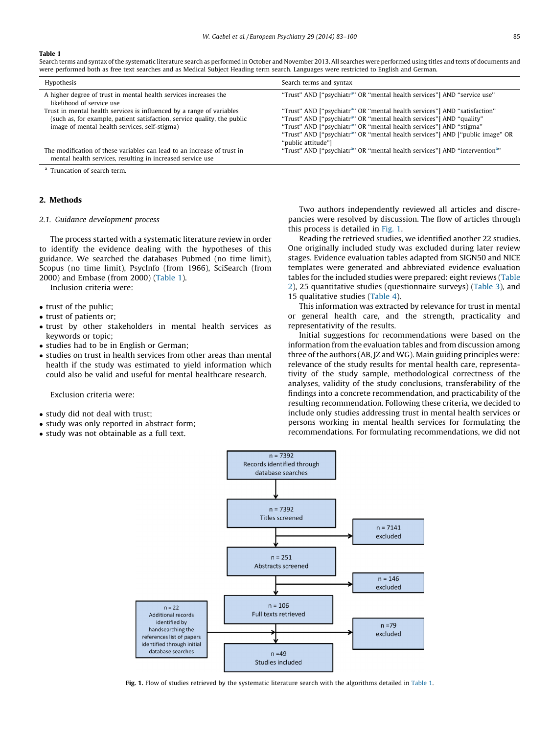Search terms and syntax of the systematic literature search as performed in October and November 2013. All searches were performed using titles and texts of documents and were performed both as free text searches and as Medical Subject Heading term search. Languages were restricted to English and German.

| Hypothesis                                                                                                                                                                                         | Search terms and syntax                                                                                                                                                                                                                                                                                                                                                             |
|----------------------------------------------------------------------------------------------------------------------------------------------------------------------------------------------------|-------------------------------------------------------------------------------------------------------------------------------------------------------------------------------------------------------------------------------------------------------------------------------------------------------------------------------------------------------------------------------------|
| A higher degree of trust in mental health services increases the<br>likelihood of service use                                                                                                      | "Trust" AND ["psychiatr <sup>a</sup> " OR "mental health services"] AND "service use"                                                                                                                                                                                                                                                                                               |
| Trust in mental health services is influenced by a range of variables<br>(such as, for example, patient satisfaction, service quality, the public<br>image of mental health services, self-stigma) | "Trust" AND ["psychiatr <sup>a</sup> " OR "mental health services"] AND "satisfaction"<br>"Trust" AND ["psychiatr <sup>a</sup> " OR "mental health services"] AND "quality"<br>"Trust" AND ["psychiatr <sup>a</sup> " OR "mental health services"] AND "stigma"<br>"Trust" AND ["psychiatr <sup>a</sup> " OR "mental health services"] AND ["public image" OR<br>"public attitude"] |
| The modification of these variables can lead to an increase of trust in<br>mental health services, resulting in increased service use                                                              | "Trust" AND ["psychiatr <sup>a</sup> " OR "mental health services"] AND "intervention <sup>a</sup> "                                                                                                                                                                                                                                                                                |

<sup>a</sup> Truncation of search term.

## 2. Methods

#### 2.1. Guidance development process

The process started with a systematic literature review in order to identify the evidence dealing with the hypotheses of this guidance. We searched the databases Pubmed (no time limit), Scopus (no time limit), PsycInfo (from 1966), SciSearch (from 2000) and Embase (from 2000) (Table 1).

Inclusion criteria were:

- trust of the public;
- trust of patients or;
- trust by other stakeholders in mental health services as keywords or topic;
- studies had to be in English or German;
- studies on trust in health services from other areas than mental health if the study was estimated to yield information which could also be valid and useful for mental healthcare research.

Exclusion criteria were:

- study did not deal with trust;
- study was only reported in abstract form;
- study was not obtainable as a full text.

Two authors independently reviewed all articles and discrepancies were resolved by discussion. The flow of articles through this process is detailed in Fig. 1.

Reading the retrieved studies, we identified another 22 studies. One originally included study was excluded during later review stages. Evidence evaluation tables adapted from SIGN50 and NICE templates were generated and abbreviated evidence evaluation tables for the included studies were prepared: eight reviews ([Table](#page-3-0) [2](#page-3-0)), 25 quantitative studies (questionnaire surveys) [\(Table](#page-5-0) 3), and 15 qualitative studies ([Table](#page-9-0) 4).

This information was extracted by relevance for trust in mental or general health care, and the strength, practicality and representativity of the results.

Initial suggestions for recommendations were based on the information from the evaluation tables and from discussion among three of the authors (AB, JZ and WG). Main guiding principles were: relevance of the study results for mental health care, representativity of the study sample, methodological correctness of the analyses, validity of the study conclusions, transferability of the findings into a concrete recommendation, and practicability of the resulting recommendation. Following these criteria, we decided to include only studies addressing trust in mental health services or persons working in mental health services for formulating the recommendations. For formulating recommendations, we did not



Fig. 1. Flow of studies retrieved by the systematic literature search with the algorithms detailed in Table 1.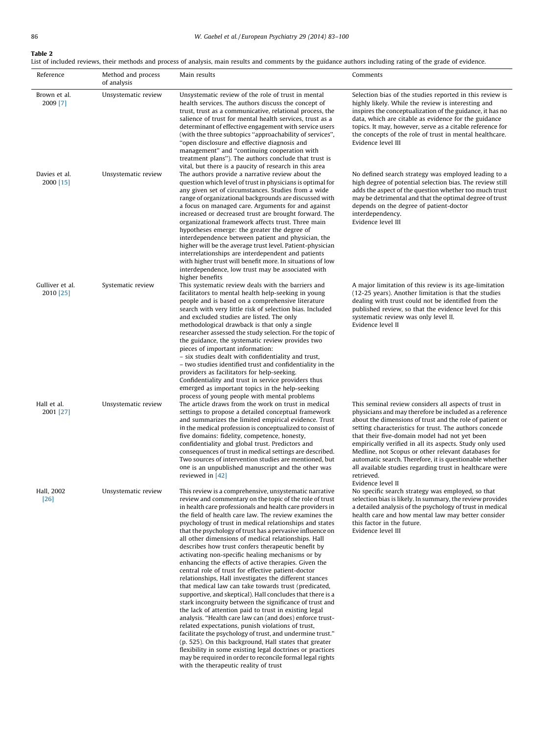<span id="page-3-0"></span>List of included reviews, their methods and process of analysis, main results and comments by the guidance authors including rating of the grade of evidence.

| Reference                    | Method and process<br>of analysis | Main results                                                                                                                                                                                                                                                                                                                                                                                                                                                                                                                                                                                                                                                                                                                                                                                                                                                                                                                                                                                                                                                                                                                                                                                                                                                                                                                                                  | Comments                                                                                                                                                                                                                                                                                                                                                                                                                                                                                                                                        |
|------------------------------|-----------------------------------|---------------------------------------------------------------------------------------------------------------------------------------------------------------------------------------------------------------------------------------------------------------------------------------------------------------------------------------------------------------------------------------------------------------------------------------------------------------------------------------------------------------------------------------------------------------------------------------------------------------------------------------------------------------------------------------------------------------------------------------------------------------------------------------------------------------------------------------------------------------------------------------------------------------------------------------------------------------------------------------------------------------------------------------------------------------------------------------------------------------------------------------------------------------------------------------------------------------------------------------------------------------------------------------------------------------------------------------------------------------|-------------------------------------------------------------------------------------------------------------------------------------------------------------------------------------------------------------------------------------------------------------------------------------------------------------------------------------------------------------------------------------------------------------------------------------------------------------------------------------------------------------------------------------------------|
| Brown et al.<br>2009 [7]     | Unsystematic review               | Unsystematic review of the role of trust in mental<br>health services. The authors discuss the concept of<br>trust, trust as a communicative, relational process, the<br>salience of trust for mental health services, trust as a<br>determinant of effective engagement with service users<br>(with the three subtopics "approachability of services",<br>"open disclosure and effective diagnosis and<br>management" and "continuing cooperation with<br>treatment plans"). The authors conclude that trust is<br>vital, but there is a paucity of research in this area                                                                                                                                                                                                                                                                                                                                                                                                                                                                                                                                                                                                                                                                                                                                                                                    | Selection bias of the studies reported in this review is<br>highly likely. While the review is interesting and<br>inspires the conceptualization of the guidance, it has no<br>data, which are citable as evidence for the guidance<br>topics. It may, however, serve as a citable reference for<br>the concepts of the role of trust in mental healthcare.<br>Evidence level III                                                                                                                                                               |
| Davies et al.<br>2000 [15]   | Unsystematic review               | The authors provide a narrative review about the<br>question which level of trust in physicians is optimal for<br>any given set of circumstances. Studies from a wide<br>range of organizational backgrounds are discussed with<br>a focus on managed care. Arguments for and against<br>increased or decreased trust are brought forward. The<br>organizational framework affects trust. Three main<br>hypotheses emerge: the greater the degree of<br>interdependence between patient and physician, the<br>higher will be the average trust level. Patient-physician<br>interrelationships are interdependent and patients<br>with higher trust will benefit more. In situations of low<br>interdependence, low trust may be associated with<br>higher benefits                                                                                                                                                                                                                                                                                                                                                                                                                                                                                                                                                                                            | No defined search strategy was employed leading to a<br>high degree of potential selection bias. The review still<br>adds the aspect of the question whether too much trust<br>may be detrimental and that the optimal degree of trust<br>depends on the degree of patient-doctor<br>interdependency.<br>Evidence level III                                                                                                                                                                                                                     |
| Gulliver et al.<br>2010 [25] | Systematic review                 | This systematic review deals with the barriers and<br>facilitators to mental health help-seeking in young<br>people and is based on a comprehensive literature<br>search with very little risk of selection bias, Included<br>and excluded studies are listed. The only<br>methodological drawback is that only a single<br>researcher assessed the study selection. For the topic of<br>the guidance, the systematic review provides two<br>pieces of important information:<br>- six studies dealt with confidentiality and trust,<br>- two studies identified trust and confidentiality in the<br>providers as facilitators for help-seeking.<br>Confidentiality and trust in service providers thus<br>emerged as important topics in the help-seeking                                                                                                                                                                                                                                                                                                                                                                                                                                                                                                                                                                                                    | A major limitation of this review is its age-limitation<br>(12-25 years). Another limitation is that the studies<br>dealing with trust could not be identified from the<br>published review, so that the evidence level for this<br>systematic review was only level II.<br>Evidence level II                                                                                                                                                                                                                                                   |
| Hall et al.<br>2001 [27]     | Unsystematic review               | process of young people with mental problems<br>The article draws from the work on trust in medical<br>settings to propose a detailed conceptual framework<br>and summarizes the limited empirical evidence. Trust<br>in the medical profession is conceptualized to consist of<br>five domains: fidelity, competence, honesty,<br>confidentiality and global trust. Predictors and<br>consequences of trust in medical settings are described.<br>Two sources of intervention studies are mentioned, but<br>one is an unpublished manuscript and the other was<br>reviewed in [42]                                                                                                                                                                                                                                                                                                                                                                                                                                                                                                                                                                                                                                                                                                                                                                           | This seminal review considers all aspects of trust in<br>physicians and may therefore be included as a reference<br>about the dimensions of trust and the role of patient or<br>setting characteristics for trust. The authors concede<br>that their five-domain model had not yet been<br>empirically verified in all its aspects. Study only used<br>Medline, not Scopus or other relevant databases for<br>automatic search. Therefore, it is questionable whether<br>all available studies regarding trust in healthcare were<br>retrieved. |
| Hall, 2002<br>$[26]$         | Unsystematic review               | This review is a comprehensive, unsystematic narrative<br>review and commentary on the topic of the role of trust<br>in health care professionals and health care providers in<br>the field of health care law. The review examines the<br>psychology of trust in medical relationships and states<br>that the psychology of trust has a pervasive influence on<br>all other dimensions of medical relationships. Hall<br>describes how trust confers therapeutic benefit by<br>activating non-specific healing mechanisms or by<br>enhancing the effects of active therapies. Given the<br>central role of trust for effective patient-doctor<br>relationships, Hall investigates the different stances<br>that medical law can take towards trust (predicated,<br>supportive, and skeptical). Hall concludes that there is a<br>stark incongruity between the significance of trust and<br>the lack of attention paid to trust in existing legal<br>analysis. "Health care law can (and does) enforce trust-<br>related expectations, punish violations of trust,<br>facilitate the psychology of trust, and undermine trust."<br>(p. 525). On this background, Hall states that greater<br>flexibility in some existing legal doctrines or practices<br>may be required in order to reconcile formal legal rights<br>with the therapeutic reality of trust | Evidence level II<br>No specific search strategy was employed, so that<br>selection bias is likely. In summary, the review provides<br>a detailed analysis of the psychology of trust in medical<br>health care and how mental law may better consider<br>this factor in the future.<br>Evidence level III                                                                                                                                                                                                                                      |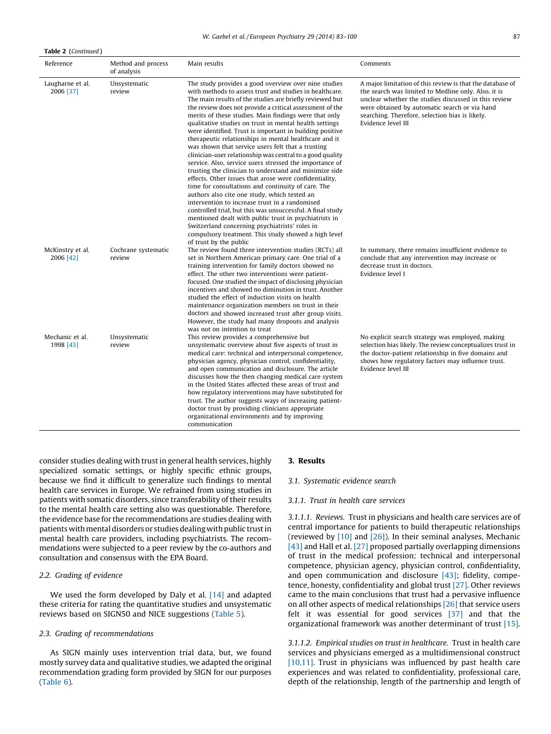| W. Gaebel et al./European Psychiatry 29 (2014) 83-100 |  |
|-------------------------------------------------------|--|
|-------------------------------------------------------|--|

| Table 2 (Continued)           |                                   |                                                                                                                                                                                                                                                                                                                                                                                                                                                                                                                                                                                                                                                                                                                                                                                                                                                                                                                                                                                                                                                                                                                                                                                                     |                                                                                                                                                                                                                                                                                                    |
|-------------------------------|-----------------------------------|-----------------------------------------------------------------------------------------------------------------------------------------------------------------------------------------------------------------------------------------------------------------------------------------------------------------------------------------------------------------------------------------------------------------------------------------------------------------------------------------------------------------------------------------------------------------------------------------------------------------------------------------------------------------------------------------------------------------------------------------------------------------------------------------------------------------------------------------------------------------------------------------------------------------------------------------------------------------------------------------------------------------------------------------------------------------------------------------------------------------------------------------------------------------------------------------------------|----------------------------------------------------------------------------------------------------------------------------------------------------------------------------------------------------------------------------------------------------------------------------------------------------|
| Reference                     | Method and process<br>of analysis | Main results                                                                                                                                                                                                                                                                                                                                                                                                                                                                                                                                                                                                                                                                                                                                                                                                                                                                                                                                                                                                                                                                                                                                                                                        | Comments                                                                                                                                                                                                                                                                                           |
| Laugharne et al.<br>2006 [37] | Unsystematic<br>review            | The study provides a good overview over nine studies<br>with methods to assess trust and studies in healthcare.<br>The main results of the studies are briefly reviewed but<br>the review does not provide a critical assessment of the<br>merits of these studies. Main findings were that only<br>qualitative studies on trust in mental health settings<br>were identified. Trust is important in building positive<br>therapeutic relationships in mental healthcare and it<br>was shown that service users felt that a trusting<br>clinician-user relationship was central to a good quality<br>service. Also, service users stressed the importance of<br>trusting the clinician to understand and minimize side<br>effects. Other issues that arose were confidentiality,<br>time for consultations and continuity of care. The<br>authors also cite one study, which tested an<br>intervention to increase trust in a randomised<br>controlled trial, but this was unsuccessful. A final study<br>mentioned dealt with public trust in psychiatrists in<br>Switzerland concerning psychiatrists' roles in<br>compulsory treatment. This study showed a high level<br>of trust by the public | A major limitation of this review is that the database of<br>the search was limited to Medline only. Also, it is<br>unclear whether the studies discussed in this review<br>were obtained by automatic search or via hand<br>searching. Therefore, selection bias is likely.<br>Evidence level III |
| McKinstry et al.<br>2006 [42] | Cochrane systematic<br>review     | The review found three intervention studies (RCTs) all<br>set in Northern American primary care. One trial of a<br>training intervention for family doctors showed no<br>effect. The other two interventions were patient-<br>focused. One studied the impact of disclosing physician<br>incentives and showed no diminution in trust. Another<br>studied the effect of induction visits on health<br>maintenance organization members on trust in their<br>doctors and showed increased trust after group visits.<br>However, the study had many dropouts and analysis<br>was not on intention to treat                                                                                                                                                                                                                                                                                                                                                                                                                                                                                                                                                                                            | In summary, there remains insufficient evidence to<br>conclude that any intervention may increase or<br>decrease trust in doctors.<br>Evidence level I                                                                                                                                             |
| Mechanic et al.<br>1998 [43]  | Unsystematic<br>review            | This review provides a comprehensive but<br>unsystematic overview about five aspects of trust in<br>medical care: technical and interpersonal competence,<br>physician agency, physician control, confidentiality,<br>and open communication and disclosure. The article<br>discusses how the then changing medical care system<br>in the United States affected these areas of trust and<br>how regulatory interventions may have substituted for<br>trust. The author suggests ways of increasing patient-<br>doctor trust by providing clinicians appropriate<br>organizational environments and by improving<br>communication                                                                                                                                                                                                                                                                                                                                                                                                                                                                                                                                                                   | No explicit search strategy was employed, making<br>selection bias likely. The review conceptualizes trust in<br>the doctor-patient relationship in five domains and<br>shows how regulatory factors may influence trust.<br>Evidence level III                                                    |

consider studies dealing with trustin general health services, highly specialized somatic settings, or highly specific ethnic groups, because we find it difficult to generalize such findings to mental health care services in Europe. We refrained from using studies in patients with somatic disorders, since transferability of their results to the mental health care setting also was questionable. Therefore, the evidence base for the recommendations are studies dealing with patients with mental disorders or studies dealing with public trust in mental health care providers, including psychiatrists. The recommendations were subjected to a peer review by the co-authors and consultation and consensus with the EPA Board.

## 2.2. Grading of evidence

We used the form developed by Daly et al. [\[14\]](#page-17-0) and adapted these criteria for rating the quantitative studies and unsystematic reviews based on SIGN50 and NICE suggestions [\(Table](#page-13-0) 5).

## 2.3. Grading of recommendations

As SIGN mainly uses intervention trial data, but, we found mostly survey data and qualitative studies, we adapted the original recommendation grading form provided by SIGN for our purposes ([Table](#page-13-0) 6).

## 3. Results

3.1. Systematic evidence search

## 3.1.1. Trust in health care services

3.1.1.1. Reviews. Trust in physicians and health care services are of central importance for patients to build therapeutic relationships (reviewed by [\[10\]](#page-17-0) and [\[26\]](#page-17-0)). In their seminal analyses, Mechanic [\[43\]](#page-17-0) and Hall et al. [\[27\]](#page-17-0) proposed partially overlapping dimensions of trust in the medical profession: technical and interpersonal competence, physician agency, physician control, confidentiality, and open communication and disclosure  $[43]$ ; fidelity, competence, honesty, confidentiality and global trust [\[27\]](#page-17-0). Other reviews came to the main conclusions that trust had a pervasive influence on all other aspects of medical relationships [\[26\]](#page-17-0) that service users felt it was essential for good services [\[37\]](#page-17-0) and that the organizational framework was another determinant of trust [\[15\].](#page-17-0)

3.1.1.2. Empirical studies on trust in healthcare. Trust in health care services and physicians emerged as a multidimensional construct [\[10,11\].](#page-17-0) Trust in physicians was influenced by past health care experiences and was related to confidentiality, professional care, depth of the relationship, length of the partnership and length of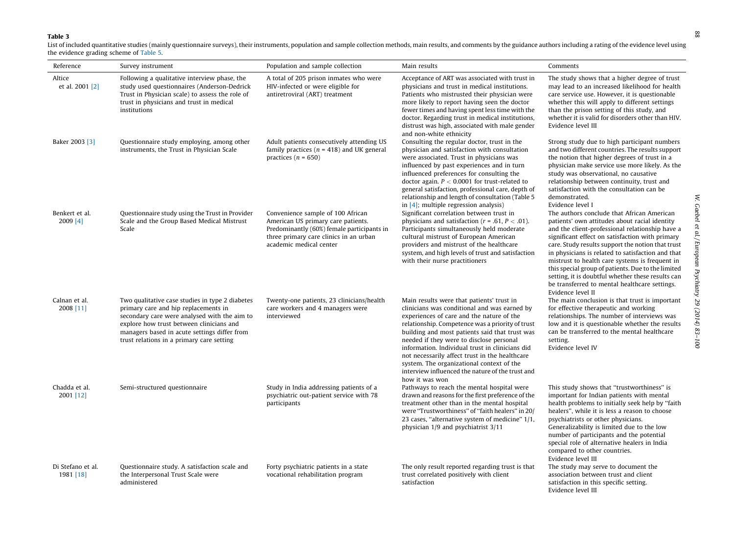<span id="page-5-0"></span>List of included quantitative studies (mainly questionnaire surveys), their instruments, population and sample collection methods, main results, and comments by the guidance authors including a rating of the evidence level the evidence grading scheme of [Table](#page-13-0) 5.

| Reference                      | Survey instrument                                                                                                                                                                                                                                                                | Population and sample collection                                                                                                                                                           | Main results                                                                                                                                                                                                                                                                                                                                                                                                                                                                                                     | Comments                                                                                                                                                                                                                                                                                                                                                                                                                                                                                                                                       |
|--------------------------------|----------------------------------------------------------------------------------------------------------------------------------------------------------------------------------------------------------------------------------------------------------------------------------|--------------------------------------------------------------------------------------------------------------------------------------------------------------------------------------------|------------------------------------------------------------------------------------------------------------------------------------------------------------------------------------------------------------------------------------------------------------------------------------------------------------------------------------------------------------------------------------------------------------------------------------------------------------------------------------------------------------------|------------------------------------------------------------------------------------------------------------------------------------------------------------------------------------------------------------------------------------------------------------------------------------------------------------------------------------------------------------------------------------------------------------------------------------------------------------------------------------------------------------------------------------------------|
| Altice<br>et al. 2001 [2]      | Following a qualitative interview phase, the<br>study used questionnaires (Anderson-Dedrick<br>Trust in Physician scale) to assess the role of<br>trust in physicians and trust in medical<br>institutions                                                                       | A total of 205 prison inmates who were<br>HIV-infected or were eligible for<br>antiretroviral (ART) treatment                                                                              | Acceptance of ART was associated with trust in<br>physicians and trust in medical institutions.<br>Patients who mistrusted their physician were<br>more likely to report having seen the doctor<br>fewer times and having spent less time with the<br>doctor. Regarding trust in medical institutions,<br>distrust was high, associated with male gender<br>and non-white ethnicity                                                                                                                              | The study shows that a higher degree of trust<br>may lead to an increased likelihood for health<br>care service use. However, it is questionable<br>whether this will apply to different settings<br>than the prison setting of this study, and<br>whether it is valid for disorders other than HIV.<br>Evidence level III                                                                                                                                                                                                                     |
| Baker 2003 [3]                 | Questionnaire study employing, among other<br>instruments, the Trust in Physician Scale                                                                                                                                                                                          | Adult patients consecutively attending US<br>family practices ( $n = 418$ ) and UK general<br>practices ( $n = 650$ )                                                                      | Consulting the regular doctor, trust in the<br>physician and satisfaction with consultation<br>were associated. Trust in physicians was<br>influenced by past experiences and in turn<br>influenced preferences for consulting the<br>doctor again. $P < 0.0001$ for trust-related to<br>general satisfaction, professional care, depth of<br>relationship and length of consultation (Table 5)<br>in $[4]$ ; multiple regression analysis)                                                                      | Strong study due to high participant numbers<br>and two different countries. The results support<br>the notion that higher degrees of trust in a<br>physician make service use more likely. As the<br>study was observational, no causative<br>relationship between continuity, trust and<br>satisfaction with the consultation can be<br>demonstrated.<br>Evidence level I                                                                                                                                                                    |
| Benkert et al.<br>2009 [4]     | Questionnaire study using the Trust in Provider<br>Scale and the Group Based Medical Mistrust<br>Scale                                                                                                                                                                           | Convenience sample of 100 African<br>American US primary care patients.<br>Predominantly (60%) female participants in<br>three primary care clinics in an urban<br>academic medical center | Significant correlation between trust in<br>physicians and satisfaction ( $r = .61$ , $P < .01$ ).<br>Participants simultaneously held moderate<br>cultural mistrust of European American<br>providers and mistrust of the healthcare<br>system, and high levels of trust and satisfaction<br>with their nurse practitioners                                                                                                                                                                                     | The authors conclude that African American<br>patients' own attitudes about racial identity<br>and the client-professional relationship have a<br>significant effect on satisfaction with primary<br>care. Study results support the notion that trust<br>in physicians is related to satisfaction and that<br>mistrust to health care systems is frequent in<br>this special group of patients. Due to the limited<br>setting, it is doubtful whether these results can<br>be transferred to mental healthcare settings.<br>Evidence level II |
| Calnan et al.<br>2008 [11]     | Two qualitative case studies in type 2 diabetes<br>primary care and hip replacements in<br>secondary care were analysed with the aim to<br>explore how trust between clinicians and<br>managers based in acute settings differ from<br>trust relations in a primary care setting | Twenty-one patients, 23 clinicians/health<br>care workers and 4 managers were<br>interviewed                                                                                               | Main results were that patients' trust in<br>clinicians was conditional and was earned by<br>experiences of care and the nature of the<br>relationship. Competence was a priority of trust<br>building and most patients said that trust was<br>needed if they were to disclose personal<br>information. Individual trust in clinicians did<br>not necessarily affect trust in the healthcare<br>system. The organizational context of the<br>interview influenced the nature of the trust and<br>how it was won | The main conclusion is that trust is important<br>for effective therapeutic and working<br>relationships. The number of interviews was<br>low and it is questionable whether the results<br>can be transferred to the mental healthcare<br>setting.<br>Evidence level IV                                                                                                                                                                                                                                                                       |
| Chadda et al.<br>2001 [12]     | Semi-structured questionnaire                                                                                                                                                                                                                                                    | Study in India addressing patients of a<br>psychiatric out-patient service with 78<br>participants                                                                                         | Pathways to reach the mental hospital were<br>drawn and reasons for the first preference of the<br>treatment other than in the mental hospital<br>were "Trustworthiness" of "faith healers" in 20/<br>23 cases, "alternative system of medicine" 1/1,<br>physician 1/9 and psychiatrist 3/11                                                                                                                                                                                                                     | This study shows that "trustworthiness" is<br>important for Indian patients with mental<br>health problems to initially seek help by "faith<br>healers", while it is less a reason to choose<br>psychiatrists or other physicians.<br>Generalizability is limited due to the low<br>number of participants and the potential<br>special role of alternative healers in India<br>compared to other countries.<br>Evidence level III                                                                                                             |
| Di Stefano et al.<br>1981 [18] | Questionnaire study. A satisfaction scale and<br>the Interpersonal Trust Scale were<br>administered                                                                                                                                                                              | Forty psychiatric patients in a state<br>vocational rehabilitation program                                                                                                                 | The only result reported regarding trust is that<br>trust correlated positively with client<br>satisfaction                                                                                                                                                                                                                                                                                                                                                                                                      | The study may serve to document the<br>association between trust and client<br>satisfaction in this specific setting.<br>Evidence level III                                                                                                                                                                                                                                                                                                                                                                                                    |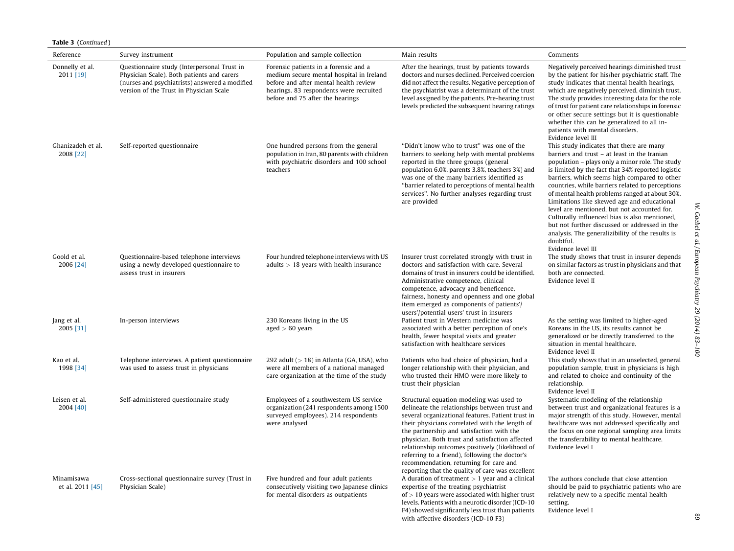| Table 3 (Continued)            |                                                                                                                                                                                        |                                                                                                                                                                                                           |                                                                                                                                                                                                                                                                                                                                                                                                                                                                                                     |                                                                                                                                                                                                                                                                                                                                                                                                                                                                                                                                                                                                                                               |
|--------------------------------|----------------------------------------------------------------------------------------------------------------------------------------------------------------------------------------|-----------------------------------------------------------------------------------------------------------------------------------------------------------------------------------------------------------|-----------------------------------------------------------------------------------------------------------------------------------------------------------------------------------------------------------------------------------------------------------------------------------------------------------------------------------------------------------------------------------------------------------------------------------------------------------------------------------------------------|-----------------------------------------------------------------------------------------------------------------------------------------------------------------------------------------------------------------------------------------------------------------------------------------------------------------------------------------------------------------------------------------------------------------------------------------------------------------------------------------------------------------------------------------------------------------------------------------------------------------------------------------------|
| Reference                      | Survey instrument                                                                                                                                                                      | Population and sample collection                                                                                                                                                                          | Main results                                                                                                                                                                                                                                                                                                                                                                                                                                                                                        | Comments                                                                                                                                                                                                                                                                                                                                                                                                                                                                                                                                                                                                                                      |
| Donnelly et al.<br>2011 [19]   | Questionnaire study (Interpersonal Trust in<br>Physician Scale). Both patients and carers<br>(nurses and psychiatrists) answered a modified<br>version of the Trust in Physician Scale | Forensic patients in a forensic and a<br>medium secure mental hospital in Ireland<br>before and after mental health review<br>hearings. 83 respondents were recruited<br>before and 75 after the hearings | After the hearings, trust by patients towards<br>doctors and nurses declined. Perceived coercion<br>did not affect the results. Negative perception of<br>the psychiatrist was a determinant of the trust<br>level assigned by the patients. Pre-hearing trust<br>levels predicted the subsequent hearing ratings                                                                                                                                                                                   | Negatively perceived hearings diminished trust<br>by the patient for his/her psychiatric staff. The<br>study indicates that mental health hearings,<br>which are negatively perceived, diminish trust.<br>The study provides interesting data for the role<br>of trust for patient care relationships in forensic<br>or other secure settings but it is questionable<br>whether this can be generalized to all in-<br>patients with mental disorders.<br>Evidence level III                                                                                                                                                                   |
| Ghanizadeh et al.<br>2008 [22] | Self-reported questionnaire                                                                                                                                                            | One hundred persons from the general<br>population in Iran, 80 parents with children<br>with psychiatric disorders and 100 school<br>teachers                                                             | "Didn't know who to trust" was one of the<br>barriers to seeking help with mental problems<br>reported in the three groups (general<br>population 6.0%, parents 3.8%, teachers 3%) and<br>was one of the many barriers identified as<br>"barrier related to perceptions of mental health<br>services". No further analyses regarding trust<br>are provided                                                                                                                                          | This study indicates that there are many<br>barriers and trust - at least in the Iranian<br>population – plays only a minor role. The study<br>is limited by the fact that 34% reported logistic<br>barriers, which seems high compared to other<br>countries, while barriers related to perceptions<br>of mental health problems ranged at about 30%.<br>Limitations like skewed age and educational<br>level are mentioned, but not accounted for.<br>Culturally influenced bias is also mentioned,<br>but not further discussed or addressed in the<br>analysis. The generalizibility of the results is<br>doubtful.<br>Evidence level III |
| Goold et al.<br>2006 [24]      | Questionnaire-based telephone interviews<br>using a newly developed questionnaire to<br>assess trust in insurers                                                                       | Four hundred telephone interviews with US<br>adults $>$ 18 years with health insurance                                                                                                                    | Insurer trust correlated strongly with trust in<br>doctors and satisfaction with care. Several<br>domains of trust in insurers could be identified.<br>Administrative competence, clinical<br>competence, advocacy and beneficence,<br>fairness, honesty and openness and one global<br>item emerged as components of patients'/<br>users'/potential users' trust in insurers                                                                                                                       | The study shows that trust in insurer depends<br>on similar factors as trust in physicians and that<br>both are connected.<br>Evidence level II                                                                                                                                                                                                                                                                                                                                                                                                                                                                                               |
| Jang et al.<br>2005 [31]       | In-person interviews                                                                                                                                                                   | 230 Koreans living in the US<br>aged > 60 years                                                                                                                                                           | Patient trust in Western medicine was<br>associated with a better perception of one's<br>health, fewer hospital visits and greater<br>satisfaction with healthcare services                                                                                                                                                                                                                                                                                                                         | As the setting was limited to higher-aged<br>Koreans in the US, its results cannot be<br>generalized or be directly transferred to the<br>situation in mental healthcare.<br>Evidence level II                                                                                                                                                                                                                                                                                                                                                                                                                                                |
| Kao et al.<br>1998 [34]        | Telephone interviews. A patient questionnaire<br>was used to assess trust in physicians                                                                                                | 292 adult ( $>$ 18) in Atlanta (GA, USA), who<br>were all members of a national managed<br>care organization at the time of the study                                                                     | Patients who had choice of physician, had a<br>longer relationship with their physician, and<br>who trusted their HMO were more likely to<br>trust their physician                                                                                                                                                                                                                                                                                                                                  | This study shows that in an unselected, general<br>population sample, trust in physicians is high<br>and related to choice and continuity of the<br>relationship.<br>Evidence level II                                                                                                                                                                                                                                                                                                                                                                                                                                                        |
| Leisen et al.<br>2004 [40]     | Self-administered questionnaire study                                                                                                                                                  | Employees of a southwestern US service<br>organization (241 respondents among 1500<br>surveyed employees). 214 respondents<br>were analysed                                                               | Structural equation modeling was used to<br>delineate the relationships between trust and<br>several organizational features. Patient trust in<br>their physicians correlated with the length of<br>the partnership and satisfaction with the<br>physician. Both trust and satisfaction affected<br>relationship outcomes positively (likelihood of<br>referring to a friend), following the doctor's<br>recommendation, returning for care and<br>reporting that the quality of care was excellent | Systematic modeling of the relationship<br>between trust and organizational features is a<br>major strength of this study. However, mental<br>healthcare was not addressed specifically and<br>the focus on one regional sampling area limits<br>the transferability to mental healthcare.<br>Evidence level I                                                                                                                                                                                                                                                                                                                                |
| Minamisawa<br>et al. 2011 [45] | Cross-sectional questionnaire survey (Trust in<br>Physician Scale)                                                                                                                     | Five hundred and four adult patients<br>consecutively visiting two Japanese clinics<br>for mental disorders as outpatients                                                                                | A duration of treatment $> 1$ year and a clinical<br>expertise of the treating psychiatrist<br>of $> 10$ years were associated with higher trust<br>levels. Patients with a neurotic disorder (ICD-10<br>F4) showed significantly less trust than patients<br>with affective disorders (ICD-10 F3)                                                                                                                                                                                                  | The authors conclude that close attention<br>should be paid to psychiatric patients who are<br>relatively new to a specific mental health<br>setting.<br>Evidence level I                                                                                                                                                                                                                                                                                                                                                                                                                                                                     |

W.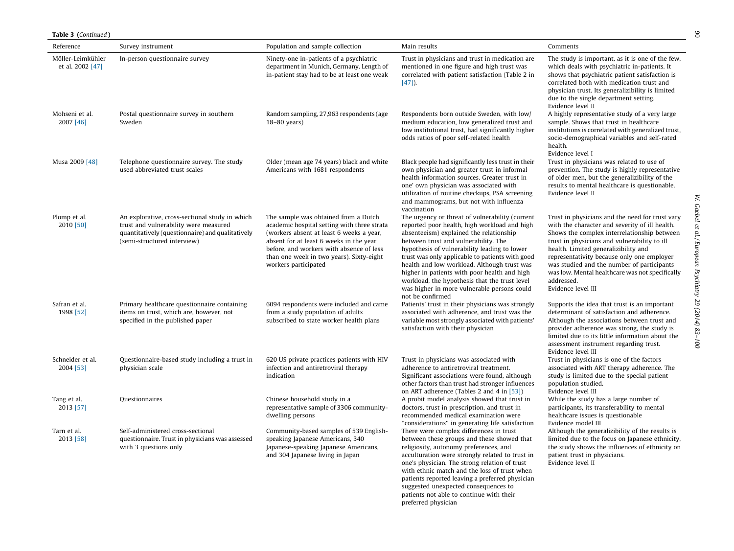| Reference                             | Survey instrument                                                                                                                                                          | Population and sample collection                                                                                                                                                                                                                                                           | Main results                                                                                                                                                                                                                                                                                                                                                                                                                                                                                             | Comments                                                                                                                                                                                                                                                                                                                                                                                                                    |
|---------------------------------------|----------------------------------------------------------------------------------------------------------------------------------------------------------------------------|--------------------------------------------------------------------------------------------------------------------------------------------------------------------------------------------------------------------------------------------------------------------------------------------|----------------------------------------------------------------------------------------------------------------------------------------------------------------------------------------------------------------------------------------------------------------------------------------------------------------------------------------------------------------------------------------------------------------------------------------------------------------------------------------------------------|-----------------------------------------------------------------------------------------------------------------------------------------------------------------------------------------------------------------------------------------------------------------------------------------------------------------------------------------------------------------------------------------------------------------------------|
| Möller-Leimkühler<br>et al. 2002 [47] | In-person questionnaire survey                                                                                                                                             | Ninety-one in-patients of a psychiatric<br>department in Munich, Germany. Length of<br>in-patient stay had to be at least one weak                                                                                                                                                         | Trust in physicians and trust in medication are<br>mentioned in one figure and high trust was<br>correlated with patient satisfaction (Table 2 in<br>$[47]$ .                                                                                                                                                                                                                                                                                                                                            | The study is important, as it is one of the few,<br>which deals with psychiatric in-patients. It<br>shows that psychiatric patient satisfaction is<br>correlated both with medication trust and<br>physician trust. Its generalizibility is limited<br>due to the single department setting.<br>Evidence level II                                                                                                           |
| Mohseni et al.<br>2007 [46]           | Postal questionnaire survey in southern<br>Sweden                                                                                                                          | Random sampling, 27,963 respondents (age<br>18-80 years)                                                                                                                                                                                                                                   | Respondents born outside Sweden, with low/<br>medium education, low generalized trust and<br>low institutional trust, had significantly higher<br>odds ratios of poor self-related health                                                                                                                                                                                                                                                                                                                | A highly representative study of a very large<br>sample. Shows that trust in healthcare<br>institutions is correlated with generalized trust,<br>socio-demographical variables and self-rated<br>health.<br>Evidence level I                                                                                                                                                                                                |
| Musa 2009 [48]                        | Telephone questionnaire survey. The study<br>used abbreviated trust scales                                                                                                 | Older (mean age 74 years) black and white<br>Americans with 1681 respondents                                                                                                                                                                                                               | Black people had significantly less trust in their<br>own physician and greater trust in informal<br>health information sources. Greater trust in<br>one' own physician was associated with<br>utilization of routine checkups, PSA screening<br>and mammograms, but not with influenza<br>vaccination                                                                                                                                                                                                   | Trust in physicians was related to use of<br>prevention. The study is highly representative<br>of older men, but the generalizibility of the<br>results to mental healthcare is questionable.<br>Evidence level II                                                                                                                                                                                                          |
| Plomp et al.<br>2010 [50]             | An explorative, cross-sectional study in which<br>trust and vulnerability were measured<br>quantitatively (questionnaire) and qualitatively<br>(semi-structured interview) | The sample was obtained from a Dutch<br>academic hospital setting with three strata<br>(workers absent at least 6 weeks a year,<br>absent for at least 6 weeks in the year<br>before, and workers with absence of less<br>than one week in two years). Sixty-eight<br>workers participated | The urgency or threat of vulnerability (current<br>reported poor health, high workload and high<br>absenteeism) explained the relationship<br>between trust and vulnerability. The<br>hypothesis of vulnerability leading to lower<br>trust was only applicable to patients with good<br>health and low workload. Although trust was<br>higher in patients with poor health and high<br>workload, the hypothesis that the trust level<br>was higher in more vulnerable persons could<br>not be confirmed | Trust in physicians and the need for trust vary<br>with the character and severity of ill health.<br>Shows the complex interrelationship between<br>trust in physicians and vulnerability to ill<br>health. Limited generalizibility and<br>representativity because only one employer<br>was studied and the number of participants<br>was low. Mental healthcare was not specifically<br>addressed.<br>Evidence level III |
| Safran et al.<br>1998 [52]            | Primary healthcare questionnaire containing<br>items on trust, which are, however, not<br>specified in the published paper                                                 | 6094 respondents were included and came<br>from a study population of adults<br>subscribed to state worker health plans                                                                                                                                                                    | Patients' trust in their physicians was strongly<br>associated with adherence, and trust was the<br>variable most strongly associated with patients'<br>satisfaction with their physician                                                                                                                                                                                                                                                                                                                | Supports the idea that trust is an important<br>determinant of satisfaction and adherence.<br>Although the associations between trust and<br>provider adherence was strong, the study is<br>limited due to its little information about the<br>assessment instrument regarding trust.<br>Evidence level III                                                                                                                 |
| Schneider et al.<br>2004 [53]         | Questionnaire-based study including a trust in<br>physician scale                                                                                                          | 620 US private practices patients with HIV<br>infection and antiretroviral therapy<br>indication                                                                                                                                                                                           | Trust in physicians was associated with<br>adherence to antiretroviral treatment.<br>Significant associations were found, although<br>other factors than trust had stronger influences<br>on ART adherence (Tables 2 and 4 in [53])                                                                                                                                                                                                                                                                      | Trust in physicians is one of the factors<br>associated with ART therapy adherence. The<br>study is limited due to the special patient<br>population studied.<br>Evidence level III                                                                                                                                                                                                                                         |
| Tang et al.<br>2013 [57]              | Questionnaires                                                                                                                                                             | Chinese household study in a<br>representative sample of 3306 community-<br>dwelling persons                                                                                                                                                                                               | A probit model analysis showed that trust in<br>doctors, trust in prescription, and trust in<br>recommended medical examination were<br>"considerations" in generating life satisfaction                                                                                                                                                                                                                                                                                                                 | While the study has a large number of<br>participants, its transferability to mental<br>healthcare issues is questionable<br>Evidence model III                                                                                                                                                                                                                                                                             |
| Tarn et al.<br>2013 [58]              | Self-administered cross-sectional<br>questionnaire. Trust in physicians was assessed<br>with 3 questions only                                                              | Community-based samples of 539 English-<br>speaking Japanese Americans, 340<br>Japanese-speaking Japanese Americans,<br>and 304 Japanese living in Japan                                                                                                                                   | There were complex differences in trust<br>between these groups and these showed that<br>religiosity, autonomy preferences, and<br>acculturation were strongly related to trust in<br>one's physician. The strong relation of trust<br>with ethnic match and the loss of trust when<br>patients reported leaving a preferred physician<br>suggested unexpected consequences to<br>patients not able to continue with their                                                                               | Although the generalizibility of the results is<br>limited due to the focus on Japanese ethnicity,<br>the study shows the influences of ethnicity on<br>patient trust in physicians.<br>Evidence level II                                                                                                                                                                                                                   |

patients not asset to<br>preferred physician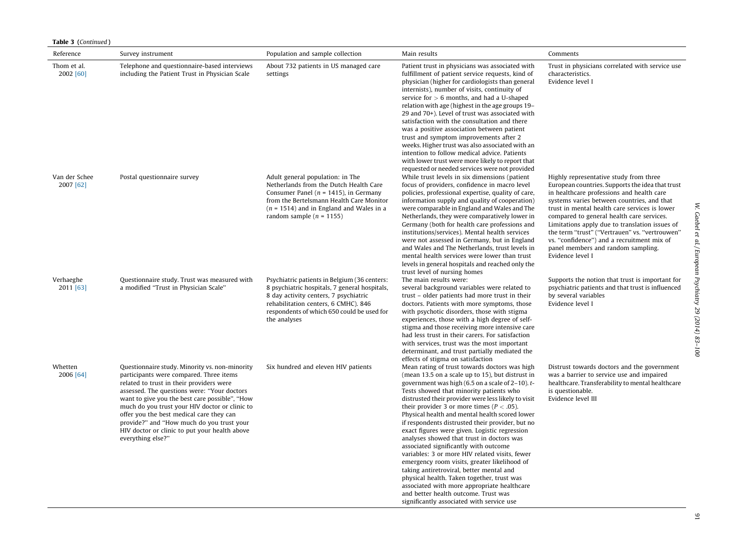| Table 3 (Continued)        |                                                                                                                                                                                                                                                                                                                                                                                                                                                         |                                                                                                                                                                                                                                                   |                                                                                                                                                                                                                                                                                                                                                                                                                                                                                                                                                                                                                                                                                                                                                                                                                                                                                                   |                                                                                                                                                                                                                                                                                                                                                                                                                                                                                                 |
|----------------------------|---------------------------------------------------------------------------------------------------------------------------------------------------------------------------------------------------------------------------------------------------------------------------------------------------------------------------------------------------------------------------------------------------------------------------------------------------------|---------------------------------------------------------------------------------------------------------------------------------------------------------------------------------------------------------------------------------------------------|---------------------------------------------------------------------------------------------------------------------------------------------------------------------------------------------------------------------------------------------------------------------------------------------------------------------------------------------------------------------------------------------------------------------------------------------------------------------------------------------------------------------------------------------------------------------------------------------------------------------------------------------------------------------------------------------------------------------------------------------------------------------------------------------------------------------------------------------------------------------------------------------------|-------------------------------------------------------------------------------------------------------------------------------------------------------------------------------------------------------------------------------------------------------------------------------------------------------------------------------------------------------------------------------------------------------------------------------------------------------------------------------------------------|
| Reference                  | Survey instrument                                                                                                                                                                                                                                                                                                                                                                                                                                       | Population and sample collection                                                                                                                                                                                                                  | Main results                                                                                                                                                                                                                                                                                                                                                                                                                                                                                                                                                                                                                                                                                                                                                                                                                                                                                      | Comments                                                                                                                                                                                                                                                                                                                                                                                                                                                                                        |
| Thom et al.<br>2002 [60]   | Telephone and questionnaire-based interviews<br>including the Patient Trust in Physician Scale                                                                                                                                                                                                                                                                                                                                                          | About 732 patients in US managed care<br>settings                                                                                                                                                                                                 | Patient trust in physicians was associated with<br>fulfillment of patient service requests, kind of<br>physician (higher for cardiologists than general<br>internists), number of visits, continuity of<br>service for $> 6$ months, and had a U-shaped<br>relation with age (highest in the age groups 19-<br>29 and 70+). Level of trust was associated with<br>satisfaction with the consultation and there<br>was a positive association between patient<br>trust and symptom improvements after 2<br>weeks. Higher trust was also associated with an<br>intention to follow medical advice. Patients<br>with lower trust were more likely to report that<br>requested or needed services were not provided                                                                                                                                                                                   | Trust in physicians correlated with service use<br>characteristics.<br>Evidence level I                                                                                                                                                                                                                                                                                                                                                                                                         |
| Van der Schee<br>2007 [62] | Postal questionnaire survey                                                                                                                                                                                                                                                                                                                                                                                                                             | Adult general population: in The<br>Netherlands from the Dutch Health Care<br>Consumer Panel ( $n = 1415$ ), in Germany<br>from the Bertelsmann Health Care Monitor<br>$(n = 1514)$ and in England and Wales in a<br>random sample ( $n = 1155$ ) | While trust levels in six dimensions (patient<br>focus of providers, confidence in macro level<br>policies, professional expertise, quality of care,<br>information supply and quality of cooperation)<br>were comparable in England and Wales and The<br>Netherlands, they were comparatively lower in<br>Germany (both for health care professions and<br>institutions/services). Mental health services<br>were not assessed in Germany, but in England<br>and Wales and The Netherlands, trust levels in<br>mental health services were lower than trust<br>levels in general hospitals and reached only the<br>trust level of nursing homes                                                                                                                                                                                                                                                  | Highly representative study from three<br>European countries. Supports the idea that trust<br>in healthcare professions and health care<br>systems varies between countries, and that<br>trust in mental health care services is lower<br>compared to general health care services.<br>Limitations apply due to translation issues of<br>the term "trust" ("Vertrauen" vs. "vertrouwen"<br>vs. "confidence") and a recruitment mix of<br>panel members and random sampling.<br>Evidence level I |
| Verhaeghe<br>2011 [63]     | Questionnaire study. Trust was measured with<br>a modified "Trust in Physician Scale"                                                                                                                                                                                                                                                                                                                                                                   | Psychiatric patients in Belgium (36 centers:<br>8 psychiatric hospitals, 7 general hospitals,<br>8 day activity centers, 7 psychiatric<br>rehabilitation centers, 6 CMHC). 846<br>respondents of which 650 could be used for<br>the analyses      | The main results were:<br>several background variables were related to<br>trust – older patients had more trust in their<br>doctors. Patients with more symptoms, those<br>with psychotic disorders, those with stigma<br>experiences, those with a high degree of self-<br>stigma and those receiving more intensive care<br>had less trust in their carers. For satisfaction<br>with services, trust was the most important<br>determinant, and trust partially mediated the<br>effects of stigma on satisfaction                                                                                                                                                                                                                                                                                                                                                                               | Supports the notion that trust is important for<br>psychiatric patients and that trust is influenced<br>by several variables<br>Evidence level I                                                                                                                                                                                                                                                                                                                                                |
| Whetten<br>2006 [64]       | Questionnaire study. Minority vs. non-minority<br>participants were compared. Three items<br>related to trust in their providers were<br>assessed. The questions were: "Your doctors<br>want to give you the best care possible", "How<br>much do you trust your HIV doctor or clinic to<br>offer you the best medical care they can<br>provide?" and "How much do you trust your<br>HIV doctor or clinic to put your health above<br>everything else?" | Six hundred and eleven HIV patients                                                                                                                                                                                                               | Mean rating of trust towards doctors was high<br>(mean 13.5 on a scale up to 15), but distrust in<br>government was high $(6.5 \text{ on a scale of } 2-10)$ . t-<br>Tests showed that minority patients who<br>distrusted their provider were less likely to visit<br>their provider 3 or more times ( $P < .05$ ).<br>Physical health and mental health scored lower<br>if respondents distrusted their provider, but no<br>exact figures were given. Logistic regression<br>analyses showed that trust in doctors was<br>associated significantly with outcome<br>variables: 3 or more HIV related visits, fewer<br>emergency room visits, greater likelihood of<br>taking antiretroviral, better mental and<br>physical health. Taken together, trust was<br>associated with more appropriate healthcare<br>and better health outcome. Trust was<br>significantly associated with service use | Distrust towards doctors and the government<br>was a barrier to service use and impaired<br>healthcare. Transferability to mental healthcare<br>is questionable.<br>Evidence level III                                                                                                                                                                                                                                                                                                          |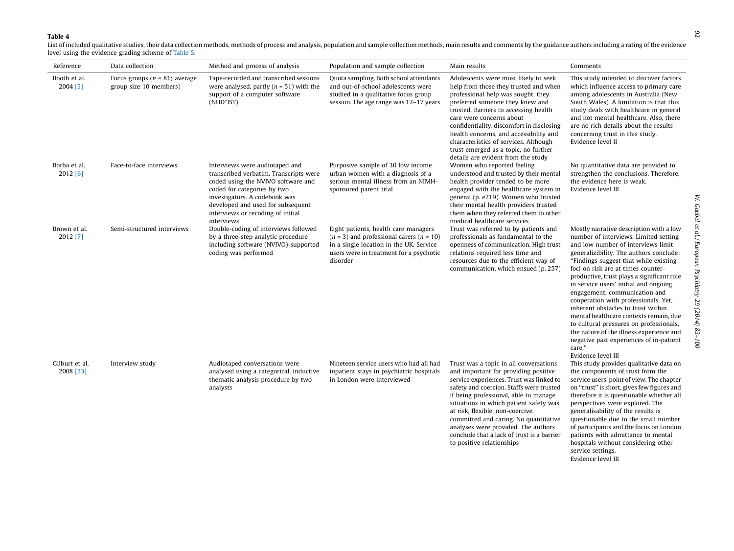<span id="page-9-0"></span>List of included qualitative studies, their data collection methods, methods of process and analysis, population and sample collection methods, main results and comments by the guidance authors including a rating of the ev level using the evidence grading scheme of [Table](#page-13-0) 5.

| Reference                   | Data collection                                             | Method and process of analysis                                                                                                                                                                                                                                         | Population and sample collection                                                                                                                                                       | Main results                                                                                                                                                                                                                                                                                                                                                                                                                                             | Comments                                                                                                                                                                                                                                                                                                                                                                                                                                                                                                                                                                                                                                                           |
|-----------------------------|-------------------------------------------------------------|------------------------------------------------------------------------------------------------------------------------------------------------------------------------------------------------------------------------------------------------------------------------|----------------------------------------------------------------------------------------------------------------------------------------------------------------------------------------|----------------------------------------------------------------------------------------------------------------------------------------------------------------------------------------------------------------------------------------------------------------------------------------------------------------------------------------------------------------------------------------------------------------------------------------------------------|--------------------------------------------------------------------------------------------------------------------------------------------------------------------------------------------------------------------------------------------------------------------------------------------------------------------------------------------------------------------------------------------------------------------------------------------------------------------------------------------------------------------------------------------------------------------------------------------------------------------------------------------------------------------|
| Booth et al.<br>2004 [5]    | Focus groups ( $n = 81$ ; average<br>group size 10 members) | Tape-recorded and transcribed sessions<br>were analysed, partly ( $n = 51$ ) with the<br>support of a computer software<br>$(NUD^*IST)$                                                                                                                                | Quota sampling. Both school attendants<br>and out-of-school adolescents were<br>studied in a qualitative focus group<br>session. The age range was 12-17 years                         | Adolescents were most likely to seek<br>help from those they trusted and when<br>professional help was sought, they<br>preferred someone they knew and<br>trusted. Barriers to accessing health<br>care were concerns about<br>confidentiality, discomfort in disclosing<br>health concerns, and accessibility and<br>characteristics of services. Although<br>trust emerged as a topic, no further<br>details are evident from the study                | This study intended to discover factors<br>which influence access to primary care<br>among adolescents in Australia (New<br>South Wales). A limitation is that this<br>study deals with healthcare in general<br>and not mental healthcare. Also, there<br>are no rich details about the results<br>concerning trust in this study.<br>Evidence level II                                                                                                                                                                                                                                                                                                           |
| Borba et al.<br>2012 [6]    | Face-to-face interviews                                     | Interviews were audiotaped and<br>transcribed verbatim. Transcripts were<br>coded using the NVIVO software and<br>coded for categories by two<br>investigators. A codebook was<br>developed and used for subsequent<br>interviews or recoding of initial<br>interviews | Purposive sample of 30 low income<br>urban women with a diagnosis of a<br>serious mental illness from an NIMH-<br>sponsored parent trial                                               | Women who reported feeling<br>understood and trusted by their mental<br>health provider tended to be more<br>engaged with the healthcare system in<br>general (p. e219). Women who trusted<br>their mental health providers trusted<br>them when they referred them to other<br>medical healthcare services                                                                                                                                              | No quantitative data are provided to<br>strengthen the conclusions. Therefore,<br>the evidence here is weak.<br>Evidence level III                                                                                                                                                                                                                                                                                                                                                                                                                                                                                                                                 |
| Brown et al.<br>2012 [7]    | Semi-structured interviews                                  | Double-coding of interviews followed<br>by a three-step analytic procedure<br>including software (NVIVO)-supported<br>coding was performed                                                                                                                             | Eight patients, health care managers<br>$(n = 3)$ and professional carers $(n = 10)$<br>in a single location in the UK. Service<br>users were in treatment for a psychotic<br>disorder | Trust was referred to by patients and<br>professionals as fundamental to the<br>openness of communication. High trust<br>relations required less time and<br>resources due to the efficient way of<br>communication, which ensued (p. 257)                                                                                                                                                                                                               | Mostly narrative description with a low<br>number of interviews. Limited setting<br>and low number of interviews limit<br>generalizibility. The authors conclude:<br>"Findings suggest that while existing<br>foci on risk are at times counter-<br>productive, trust plays a significant role<br>in service users' initial and ongoing<br>engagement, communication and<br>cooperation with professionals. Yet,<br>inherent obstacles to trust within<br>mental healthcare contexts remain, due<br>to cultural pressures on professionals,<br>the nature of the illness experience and<br>negative past experiences of in-patient<br>care."<br>Evidence level III |
| Gilburt et al.<br>2008 [23] | Interview study                                             | Audiotaped conversations were<br>analysed using a categorical, inductive<br>thematic analysis procedure by two<br>analysts                                                                                                                                             | Nineteen service users who had all had<br>inpatient stays in psychiatric hospitals<br>in London were interviewed                                                                       | Trust was a topic in all conversations<br>and important for providing positive<br>service experiences. Trust was linked to<br>safety and coercion. Staffs were trusted<br>if being professional, able to manage<br>situations in which patient safety was<br>at risk, flexible, non-coercive,<br>committed and caring. No quantitative<br>analyses were provided. The authors<br>conclude that a lack of trust is a barrier<br>to positive relationships | This study provides qualitative data on<br>the components of trust from the<br>service users' point of view. The chapter<br>on "trust" is short, gives few figures and<br>therefore it is questionable whether all<br>perspectives were explored. The<br>generalisability of the results is<br>questionable due to the small number<br>of participants and the focus on London<br>patients with admittance to mental<br>hospitals without considering other<br>service settings.                                                                                                                                                                                   |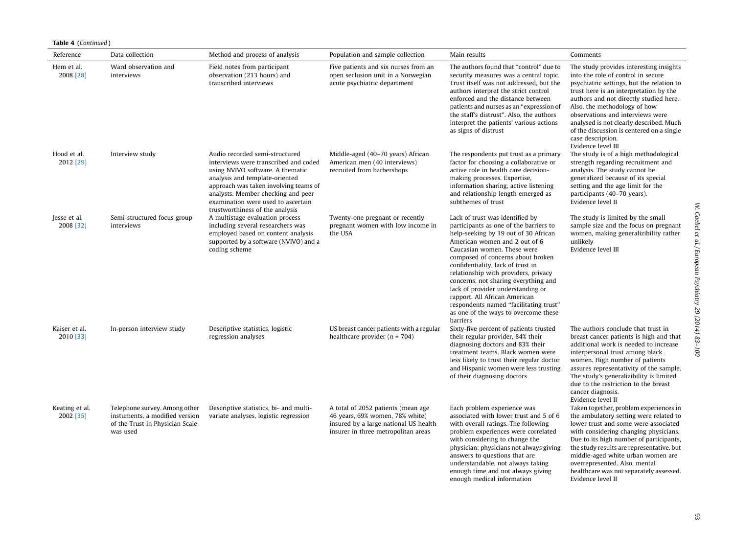|                             | Table 4 (Continued)                                                                                            |                                                                                                                                                                                                                                                                                                       |                                                                                                                                                       |                                                                                                                                                                                                                                                                                                                                                                                                                                                                                                                 |                                                                                                                                                                                                                                                                                                                                                                                                                       |
|-----------------------------|----------------------------------------------------------------------------------------------------------------|-------------------------------------------------------------------------------------------------------------------------------------------------------------------------------------------------------------------------------------------------------------------------------------------------------|-------------------------------------------------------------------------------------------------------------------------------------------------------|-----------------------------------------------------------------------------------------------------------------------------------------------------------------------------------------------------------------------------------------------------------------------------------------------------------------------------------------------------------------------------------------------------------------------------------------------------------------------------------------------------------------|-----------------------------------------------------------------------------------------------------------------------------------------------------------------------------------------------------------------------------------------------------------------------------------------------------------------------------------------------------------------------------------------------------------------------|
| Reference                   | Data collection                                                                                                | Method and process of analysis                                                                                                                                                                                                                                                                        | Population and sample collection                                                                                                                      | Main results                                                                                                                                                                                                                                                                                                                                                                                                                                                                                                    | Comments                                                                                                                                                                                                                                                                                                                                                                                                              |
| Hem et al.<br>2008 [28]     | Ward observation and<br>interviews                                                                             | Field notes from participant<br>observation (213 hours) and<br>transcribed interviews                                                                                                                                                                                                                 | Five patients and six nurses from an<br>open seclusion unit in a Norwegian<br>acute psychiatric department                                            | The authors found that "control" due to<br>security measures was a central topic.<br>Trust itself was not addressed, but the<br>authors interpret the strict control<br>enforced and the distance between<br>patients and nurses as an "expression of<br>the staff's distrust". Also, the authors<br>interpret the patients' various actions<br>as signs of distrust                                                                                                                                            | The study provides interesting insights<br>into the role of control in secure<br>psychiatric settings, but the relation to<br>trust here is an interpretation by the<br>authors and not directly studied here.<br>Also, the methodology of how<br>observations and interviews were<br>analysed is not clearly described. Much<br>of the discussion is centered on a single<br>case description.<br>Evidence level III |
| Hood et al.<br>2012 [29]    | Interview study                                                                                                | Audio recorded semi-structured<br>interviews were transcribed and coded<br>using NVIVO software. A thematic<br>analysis and template-oriented<br>approach was taken involving teams of<br>analysts. Member checking and peer<br>examination were used to ascertain<br>trustworthiness of the analysis | Middle-aged (40-70 years) African<br>American men (40 interviews)<br>recruited from barbershops                                                       | The respondents put trust as a primary<br>factor for choosing a collaborative or<br>active role in health care decision-<br>making processes. Expertise,<br>information sharing, active listening<br>and relationship length emerged as<br>subthemes of trust                                                                                                                                                                                                                                                   | The study is of a high methodological<br>strength regarding recruitment and<br>analysis. The study cannot be<br>generalized because of its special<br>setting and the age limit for the<br>participants (40-70 years).<br>Evidence level II                                                                                                                                                                           |
| Jesse et al.<br>2008 [32]   | Semi-structured focus group<br>interviews                                                                      | A multistage evaluation process<br>including several researchers was<br>employed based on content analysis<br>supported by a software (NVIVO) and a<br>coding scheme                                                                                                                                  | Twenty-one pregnant or recently<br>pregnant women with low income in<br>the USA                                                                       | Lack of trust was identified by<br>participants as one of the barriers to<br>help-seeking by 19 out of 30 African<br>American women and 2 out of 6<br>Caucasian women. These were<br>composed of concerns about broken<br>confidentiality, lack of trust in<br>relationship with providers, privacy<br>concerns, not sharing everything and<br>lack of provider understanding or<br>rapport. All African American<br>respondents named "facilitating trust"<br>as one of the ways to overcome these<br>barriers | The study is limited by the small<br>sample size and the focus on pregnant<br>women, making generalizibility rather<br>unlikely<br>Evidence level III                                                                                                                                                                                                                                                                 |
| Kaiser et al.<br>2010 [33]  | In-person interview study                                                                                      | Descriptive statistics, logistic<br>regression analyses                                                                                                                                                                                                                                               | US breast cancer patients with a regular<br>healthcare provider ( $n = 704$ )                                                                         | Sixty-five percent of patients trusted<br>their regular provider, 84% their<br>diagnosing doctors and 83% their<br>treatment teams. Black women were<br>less likely to trust their regular doctor<br>and Hispanic women were less trusting<br>of their diagnosing doctors                                                                                                                                                                                                                                       | The authors conclude that trust in<br>breast cancer patients is high and that<br>additional work is needed to increase<br>interpersonal trust among black<br>women. High number of patients<br>assures representativity of the sample.<br>The study's generalizibility is limited<br>due to the restriction to the breast<br>cancer diagnosis.<br>Evidence level II                                                   |
| Keating et al.<br>2002 [35] | Telephone survey. Among other<br>instuments, a modified version<br>of the Trust in Physician Scale<br>was used | Descriptive statistics, bi- and multi-<br>variate analyses, logistic regression                                                                                                                                                                                                                       | A total of 2052 patients (mean age<br>46 years, 69% women, 78% white)<br>insured by a large national US health<br>insurer in three metropolitan areas | Each problem experience was<br>associated with lower trust and 5 of 6<br>with overall ratings. The following<br>problem experiences were correlated<br>with considering to change the<br>physician: physicians not always giving<br>answers to questions that are<br>understandable, not always taking<br>enough time and not always giving<br>enough medical information                                                                                                                                       | Taken together, problem experiences in<br>the ambulatory setting were related to<br>lower trust and some were associated<br>with considering changing physicians.<br>Due to its high number of participants,<br>the study results are representative, but<br>middle-aged white urban women are<br>overrepresented. Also, mental<br>healthcare was not separately assessed.<br>Evidence level II                       |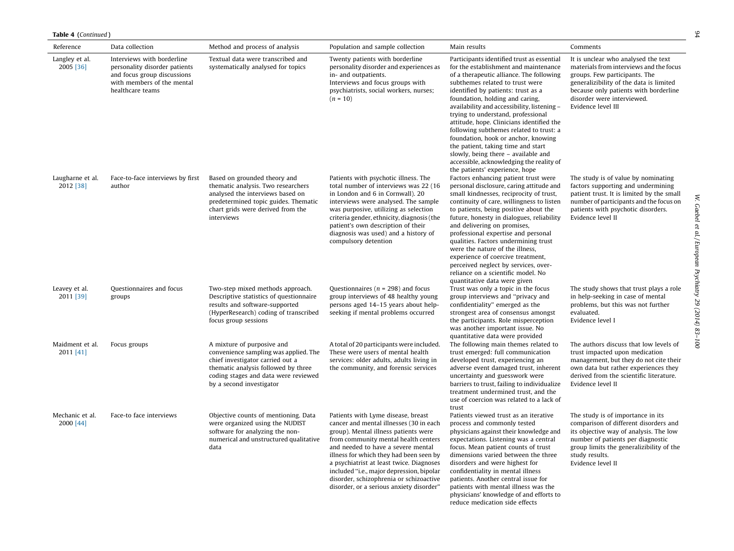|                               | Table 4 (Continued)                                                                                                                          |                                                                                                                                                                                                                    |                                                                                                                                                                                                                                                                                                                                                                                                                                |                                                                                                                                                                                                                                                                                                                                                                                                                                                                                                                                                                                                                            |                                                                                                                                                                                                                                                         |
|-------------------------------|----------------------------------------------------------------------------------------------------------------------------------------------|--------------------------------------------------------------------------------------------------------------------------------------------------------------------------------------------------------------------|--------------------------------------------------------------------------------------------------------------------------------------------------------------------------------------------------------------------------------------------------------------------------------------------------------------------------------------------------------------------------------------------------------------------------------|----------------------------------------------------------------------------------------------------------------------------------------------------------------------------------------------------------------------------------------------------------------------------------------------------------------------------------------------------------------------------------------------------------------------------------------------------------------------------------------------------------------------------------------------------------------------------------------------------------------------------|---------------------------------------------------------------------------------------------------------------------------------------------------------------------------------------------------------------------------------------------------------|
| Reference                     | Data collection                                                                                                                              | Method and process of analysis                                                                                                                                                                                     | Population and sample collection                                                                                                                                                                                                                                                                                                                                                                                               | Main results                                                                                                                                                                                                                                                                                                                                                                                                                                                                                                                                                                                                               | Comments                                                                                                                                                                                                                                                |
| Langley et al.<br>2005 [36]   | Interviews with borderline<br>personality disorder patients<br>and focus group discussions<br>with members of the mental<br>healthcare teams | Textual data were transcribed and<br>systematically analysed for topics                                                                                                                                            | Twenty patients with borderline<br>personality disorder and experiences as<br>in- and outpatients.<br>Interviews and focus groups with<br>psychiatrists, social workers, nurses;<br>$(n = 10)$                                                                                                                                                                                                                                 | Participants identified trust as essential<br>for the establishment and maintenance<br>of a therapeutic alliance. The following<br>subthemes related to trust were<br>identified by patients: trust as a<br>foundation, holding and caring,<br>availability and accessibility, listening -<br>trying to understand, professional<br>attitude, hope. Clinicians identified the<br>following subthemes related to trust: a<br>foundation, hook or anchor, knowing<br>the patient, taking time and start<br>slowly, being there - available and<br>accessible, acknowledging the reality of<br>the patients' experience, hope | It is unclear who analysed the text<br>materials from interviews and the focus<br>groups. Few participants. The<br>generalizibility of the data is limited<br>because only patients with borderline<br>disorder were interviewed.<br>Evidence level III |
| Laugharne et al.<br>2012 [38] | Face-to-face interviews by first<br>author                                                                                                   | Based on grounded theory and<br>thematic analysis. Two researchers<br>analysed the interviews based on<br>predetermined topic guides. Thematic<br>chart grids were derived from the<br>interviews                  | Patients with psychotic illness. The<br>total number of interviews was 22 (16<br>in London and 6 in Cornwall). 20<br>interviews were analysed. The sample<br>was purposive, utilizing as selection<br>criteria gender, ethnicity, diagnosis (the<br>patient's own description of their<br>diagnosis was used) and a history of<br>compulsory detention                                                                         | Factors enhancing patient trust were<br>personal disclosure, caring attitude and<br>small kindnesses, reciprocity of trust,<br>continuity of care, willingness to listen<br>to patients, being positive about the<br>future, honesty in dialogues, reliability<br>and delivering on promises,<br>professional expertise and personal<br>qualities. Factors undermining trust<br>were the nature of the illness,<br>experience of coercive treatment,<br>perceived neglect by services, over-<br>reliance on a scientific model. No<br>quantitative data were given                                                         | The study is of value by nominating<br>factors supporting and undermining<br>patient trust. It is limited by the small<br>number of participants and the focus on<br>patients with psychotic disorders.<br>Evidence level II                            |
| Leavey et al.<br>2011 [39]    | Questionnaires and focus<br>groups                                                                                                           | Two-step mixed methods approach.<br>Descriptive statistics of questionnaire<br>results and software-supported<br>(HyperResearch) coding of transcribed<br>focus group sessions                                     | Questionnaires ( $n = 298$ ) and focus<br>group interviews of 48 healthy young<br>persons aged 14-15 years about help-<br>seeking if mental problems occurred                                                                                                                                                                                                                                                                  | Trust was only a topic in the focus<br>group interviews and "privacy and<br>confidentiality" emerged as the<br>strongest area of consensus amongst<br>the participants. Role misperception<br>was another important issue. No<br>quantitative data were provided                                                                                                                                                                                                                                                                                                                                                           | The study shows that trust plays a role<br>in help-seeking in case of mental<br>problems, but this was not further<br>evaluated.<br>Evidence level I                                                                                                    |
| Maidment et al.<br>2011 [41]  | Focus groups                                                                                                                                 | A mixture of purposive and<br>convenience sampling was applied. The<br>chief investigator carried out a<br>thematic analysis followed by three<br>coding stages and data were reviewed<br>by a second investigator | A total of 20 participants were included.<br>These were users of mental health<br>services: older adults, adults living in<br>the community, and forensic services                                                                                                                                                                                                                                                             | The following main themes related to<br>trust emerged: full communication<br>developed trust, experiencing an<br>adverse event damaged trust, inherent<br>uncertainty and guesswork were<br>barriers to trust, failing to individualize<br>treatment undermined trust, and the<br>use of coercion was related to a lack of<br>trust                                                                                                                                                                                                                                                                                        | The authors discuss that low levels of<br>trust impacted upon medication<br>management, but they do not cite their<br>own data but rather experiences they<br>derived from the scientific literature.<br>Evidence level II                              |
| Mechanic et al.<br>2000 [44]  | Face-to face interviews                                                                                                                      | Objective counts of mentioning. Data<br>were organized using the NUDIST<br>software for analyzing the non-<br>numerical and unstructured qualitative<br>data                                                       | Patients with Lyme disease, breast<br>cancer and mental illnesses (30 in each<br>group). Mental illness patients were<br>from community mental health centers<br>and needed to have a severe mental<br>illness for which they had been seen by<br>a psychiatrist at least twice. Diagnoses<br>included "i.e., major depression, bipolar<br>disorder, schizophrenia or schizoactive<br>disorder, or a serious anxiety disorder" | Patients viewed trust as an iterative<br>process and commonly tested<br>physicians against their knowledge and<br>expectations. Listening was a central<br>focus. Mean patient counts of trust<br>dimensions varied between the three<br>disorders and were highest for<br>confidentiality in mental illness<br>patients. Another central issue for<br>patients with mental illness was the<br>physicians' knowledge of and efforts to<br>reduce medication side effects                                                                                                                                                   | The study is of importance in its<br>comparison of different disorders and<br>its objective way of analysis. The low<br>number of patients per diagnostic<br>group limits the generalizibility of the<br>study results.<br>Evidence level II            |

94

Gaebel et al. / European Psychiatry 29 (2014) 83–100 94

W.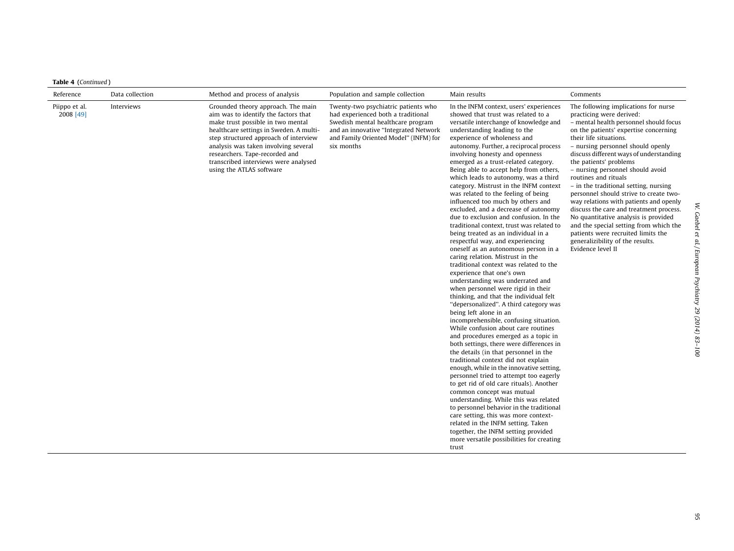|  | Table 4 (Continued) |  |
|--|---------------------|--|
|--|---------------------|--|

| Reference                  | Data collection | Method and process of analysis                                                                                                                                                                                                                                                                                                                    | Population and sample collection                                                                                                                                                                               | Main results                                                                                                                                                                                                                                                                                                                                                                                                                                                                                                                                                                                                                                                                                                                                                                                                                                                                                                                                                                                                                                                                                                                                                                                                                                                                                                                                                                                                                                                                                                                                                                                                                                                                                                                                                 | Comments                                                                                                                                                                                                                                                                                                                                                                                                                                                                                                                                                                                                                                                                                                     |
|----------------------------|-----------------|---------------------------------------------------------------------------------------------------------------------------------------------------------------------------------------------------------------------------------------------------------------------------------------------------------------------------------------------------|----------------------------------------------------------------------------------------------------------------------------------------------------------------------------------------------------------------|--------------------------------------------------------------------------------------------------------------------------------------------------------------------------------------------------------------------------------------------------------------------------------------------------------------------------------------------------------------------------------------------------------------------------------------------------------------------------------------------------------------------------------------------------------------------------------------------------------------------------------------------------------------------------------------------------------------------------------------------------------------------------------------------------------------------------------------------------------------------------------------------------------------------------------------------------------------------------------------------------------------------------------------------------------------------------------------------------------------------------------------------------------------------------------------------------------------------------------------------------------------------------------------------------------------------------------------------------------------------------------------------------------------------------------------------------------------------------------------------------------------------------------------------------------------------------------------------------------------------------------------------------------------------------------------------------------------------------------------------------------------|--------------------------------------------------------------------------------------------------------------------------------------------------------------------------------------------------------------------------------------------------------------------------------------------------------------------------------------------------------------------------------------------------------------------------------------------------------------------------------------------------------------------------------------------------------------------------------------------------------------------------------------------------------------------------------------------------------------|
| Piippo et al.<br>2008 [49] | Interviews      | Grounded theory approach. The main<br>aim was to identify the factors that<br>make trust possible in two mental<br>healthcare settings in Sweden. A multi-<br>step structured approach of interview<br>analysis was taken involving several<br>researchers. Tape-recorded and<br>transcribed interviews were analysed<br>using the ATLAS software | Twenty-two psychiatric patients who<br>had experienced both a traditional<br>Swedish mental healthcare program<br>and an innovative "Integrated Network<br>and Family Oriented Model" (INFM) for<br>six months | In the INFM context, users' experiences<br>showed that trust was related to a<br>versatile interchange of knowledge and<br>understanding leading to the<br>experience of wholeness and<br>autonomy. Further, a reciprocal process<br>involving honesty and openness<br>emerged as a trust-related category.<br>Being able to accept help from others,<br>which leads to autonomy, was a third<br>category. Mistrust in the INFM context<br>was related to the feeling of being<br>influenced too much by others and<br>excluded, and a decrease of autonomy<br>due to exclusion and confusion. In the<br>traditional context, trust was related to<br>being treated as an individual in a<br>respectful way, and experiencing<br>oneself as an autonomous person in a<br>caring relation. Mistrust in the<br>traditional context was related to the<br>experience that one's own<br>understanding was underrated and<br>when personnel were rigid in their<br>thinking, and that the individual felt<br>"depersonalized". A third category was<br>being left alone in an<br>incomprehensible, confusing situation.<br>While confusion about care routines<br>and procedures emerged as a topic in<br>both settings, there were differences in<br>the details (in that personnel in the<br>traditional context did not explain<br>enough, while in the innovative setting,<br>personnel tried to attempt too eagerly<br>to get rid of old care rituals). Another<br>common concept was mutual<br>understanding. While this was related<br>to personnel behavior in the traditional<br>care setting, this was more context-<br>related in the INFM setting. Taken<br>together, the INFM setting provided<br>more versatile possibilities for creating<br>trust | The following implications for nurse<br>practicing were derived:<br>- mental health personnel should focus<br>on the patients' expertise concerning<br>their life situations.<br>- nursing personnel should openly<br>discuss different ways of understanding<br>the patients' problems<br>- nursing personnel should avoid<br>routines and rituals<br>- in the traditional setting, nursing<br>personnel should strive to create two-<br>way relations with patients and openly<br>discuss the care and treatment process.<br>No quantitative analysis is provided<br>and the special setting from which the<br>patients were recruited limits the<br>generalizibility of the results.<br>Evidence level II |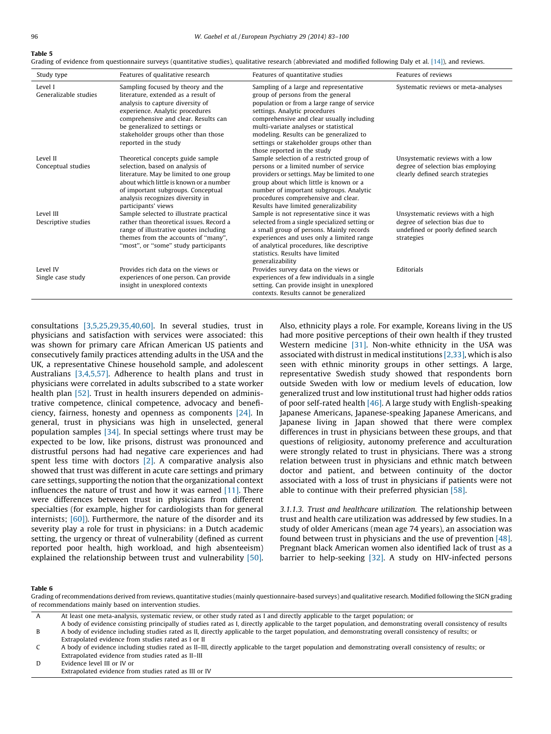<span id="page-13-0"></span>Grading of evidence from questionnaire surveys (quantitative studies), qualitative research (abbreviated and modified following Daly et al. [\[14\]\)](#page-17-0), and reviews.

| Study type                       | Features of qualitative research                                                                                                                                                                                                                                                          | Features of quantitative studies                                                                                                                                                                                                                                                                                                                                         | Features of reviews                                                                                                     |
|----------------------------------|-------------------------------------------------------------------------------------------------------------------------------------------------------------------------------------------------------------------------------------------------------------------------------------------|--------------------------------------------------------------------------------------------------------------------------------------------------------------------------------------------------------------------------------------------------------------------------------------------------------------------------------------------------------------------------|-------------------------------------------------------------------------------------------------------------------------|
| Level I<br>Generalizable studies | Sampling focused by theory and the<br>literature, extended as a result of<br>analysis to capture diversity of<br>experience. Analytic procedures<br>comprehensive and clear. Results can<br>be generalized to settings or<br>stakeholder groups other than those<br>reported in the study | Sampling of a large and representative<br>group of persons from the general<br>population or from a large range of service<br>settings. Analytic procedures<br>comprehensive and clear usually including<br>multi-variate analyses or statistical<br>modeling. Results can be generalized to<br>settings or stakeholder groups other than<br>those reported in the study | Systematic reviews or meta-analyses                                                                                     |
| Level II<br>Conceptual studies   | Theoretical concepts guide sample<br>selection, based on analysis of<br>literature. May be limited to one group<br>about which little is known or a number<br>of important subgroups. Conceptual<br>analysis recognizes diversity in<br>participants' views                               | Sample selection of a restricted group of<br>persons or a limited number of service<br>providers or settings. May be limited to one<br>group about which little is known or a<br>number of important subgroups. Analytic<br>procedures comprehensive and clear.<br>Results have limited generalizability                                                                 | Unsystematic reviews with a low<br>degree of selection bias employing<br>clearly defined search strategies              |
| Level III<br>Descriptive studies | Sample selected to illustrate practical<br>rather than theoretical issues. Record a<br>range of illustrative quotes including<br>themes from the accounts of "many",<br>"most", or "some" study participants                                                                              | Sample is not representative since it was<br>selected from a single specialized setting or<br>a small group of persons. Mainly records<br>experiences and uses only a limited range<br>of analytical procedures, like descriptive<br>statistics. Results have limited<br>generalizability                                                                                | Unsystematic reviews with a high<br>degree of selection bias due to<br>undefined or poorly defined search<br>strategies |
| Level IV<br>Single case study    | Provides rich data on the views or<br>experiences of one person. Can provide<br>insight in unexplored contexts                                                                                                                                                                            | Provides survey data on the views or<br>experiences of a few individuals in a single<br>setting. Can provide insight in unexplored<br>contexts. Results cannot be generalized                                                                                                                                                                                            | Editorials                                                                                                              |

consultations [\[3,5,25,29,35,40,60\].](#page-16-0) In several studies, trust in physicians and satisfaction with services were associated: this was shown for primary care African American US patients and consecutively family practices attending adults in the USA and the UK, a representative Chinese household sample, and adolescent Australians [\[3,4,5,57\]](#page-16-0). Adherence to health plans and trust in physicians were correlated in adults subscribed to a state worker health plan [\[52\].](#page-17-0) Trust in health insurers depended on administrative competence, clinical competence, advocacy and beneficiency, fairness, honesty and openness as components [\[24\]](#page-17-0). In general, trust in physicians was high in unselected, general population samples [\[34\].](#page-17-0) In special settings where trust may be expected to be low, like prisons, distrust was pronounced and distrustful persons had had negative care experiences and had spent less time with doctors  $[2]$ . A comparative analysis also showed that trust was different in acute care settings and primary care settings, supporting the notion that the organizational context influences the nature of trust and how it was earned [\[11\]](#page-17-0). There were differences between trust in physicians from different specialties (for example, higher for cardiologists than for general internists; [\[60\]\)](#page-17-0). Furthermore, the nature of the disorder and its severity play a role for trust in physicians: in a Dutch academic setting, the urgency or threat of vulnerability (defined as current reported poor health, high workload, and high absenteeism) explained the relationship between trust and vulnerability [\[50\].](#page-17-0)

Also, ethnicity plays a role. For example, Koreans living in the US had more positive perceptions of their own health if they trusted Western medicine [\[31\].](#page-17-0) Non-white ethnicity in the USA was associated with distrust in medical institutions  $[2,33]$ , which is also seen with ethnic minority groups in other settings. A large, representative Swedish study showed that respondents born outside Sweden with low or medium levels of education, low generalized trust and low institutional trust had higher odds ratios of poor self-rated health  $[46]$ . A large study with English-speaking Japanese Americans, Japanese-speaking Japanese Americans, and Japanese living in Japan showed that there were complex differences in trust in physicians between these groups, and that questions of religiosity, autonomy preference and acculturation were strongly related to trust in physicians. There was a strong relation between trust in physicians and ethnic match between doctor and patient, and between continuity of the doctor associated with a loss of trust in physicians if patients were not able to continue with their preferred physician [\[58\]](#page-17-0).

3.1.1.3. Trust and healthcare utilization. The relationship between trust and health care utilization was addressed by few studies. In a study of older Americans (mean age 74 years), an association was found between trust in physicians and the use of prevention [\[48\].](#page-17-0) Pregnant black American women also identified lack of trust as a barrier to help-seeking [\[32\].](#page-17-0) A study on HIV-infected persons

#### Table 6

Grading of recommendations derived from reviews, quantitative studies (mainly questionnaire-based surveys) and qualitative research. Modified following the SIGN grading of recommendations mainly based on intervention studies.

| A   | At least one meta-analysis, systematic review, or other study rated as I and directly applicable to the target population; or                                   |
|-----|-----------------------------------------------------------------------------------------------------------------------------------------------------------------|
|     | A body of evidence consisting principally of studies rated as I, directly applicable to the target population, and demonstrating overall consistency of results |
| B   | A body of evidence including studies rated as II, directly applicable to the target population, and demonstrating overall consistency of results; or            |
|     | Extrapolated evidence from studies rated as I or II                                                                                                             |
| C – | A body of evidence including studies rated as II-III, directly applicable to the target population and demonstrating overall consistency of results; or         |
|     | Extrapolated evidence from studies rated as II-III                                                                                                              |
| D   | Evidence level III or IV or                                                                                                                                     |
|     | Extrapolated evidence from studies rated as III or IV                                                                                                           |
|     |                                                                                                                                                                 |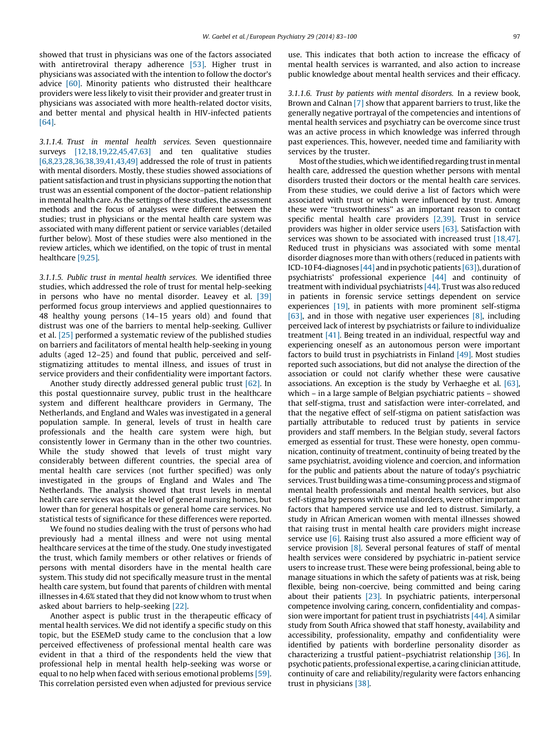showed that trust in physicians was one of the factors associated with antiretroviral therapy adherence [\[53\]](#page-17-0). Higher trust in physicians was associated with the intention to follow the doctor's advice [\[60\]](#page-17-0). Minority patients who distrusted their healthcare providers were less likely to visit their provider and greater trust in physicians was associated with more health-related doctor visits, and better mental and physical health in HIV-infected patients [\[64\]](#page-17-0).

3.1.1.4. Trust in mental health services. Seven questionnaire surveys [\[12,18,19,22,45,47,63\]](#page-17-0) and ten qualitative studies [\[6,8,23,28,36,38,39,41,43,49\]](#page-17-0) addressed the role of trust in patients with mental disorders. Mostly, these studies showed associations of patient satisfaction and trustin physicians supporting the notion that trust was an essential component of the doctor–patient relationship in mental health care. As the settings of these studies, the assessment methods and the focus of analyses were different between the studies; trust in physicians or the mental health care system was associated with many different patient or service variables (detailed further below). Most of these studies were also mentioned in the review articles, which we identified, on the topic of trust in mental healthcare [\[9,25\].](#page-17-0)

3.1.1.5. Public trust in mental health services. We identified three studies, which addressed the role of trust for mental help-seeking in persons who have no mental disorder. Leavey et al. [\[39\]](#page-17-0) performed focus group interviews and applied questionnaires to 48 healthy young persons (14–15 years old) and found that distrust was one of the barriers to mental help-seeking. Gulliver et al. [\[25\]](#page-17-0) performed a systematic review of the published studies on barriers and facilitators of mental health help-seeking in young adults (aged 12–25) and found that public, perceived and selfstigmatizing attitudes to mental illness, and issues of trust in service providers and their confidentiality were important factors.

Another study directly addressed general public trust [\[62\]](#page-17-0). In this postal questionnaire survey, public trust in the healthcare system and different healthcare providers in Germany, The Netherlands, and England and Wales was investigated in a general population sample. In general, levels of trust in health care professionals and the health care system were high, but consistently lower in Germany than in the other two countries. While the study showed that levels of trust might vary considerably between different countries, the special area of mental health care services (not further specified) was only investigated in the groups of England and Wales and The Netherlands. The analysis showed that trust levels in mental health care services was at the level of general nursing homes, but lower than for general hospitals or general home care services. No statistical tests of significance for these differences were reported.

We found no studies dealing with the trust of persons who had previously had a mental illness and were not using mental healthcare services at the time of the study. One study investigated the trust, which family members or other relatives or friends of persons with mental disorders have in the mental health care system. This study did not specifically measure trust in the mental health care system, but found that parents of children with mental illnesses in 4.6% stated that they did not know whom to trust when asked about barriers to help-seeking [\[22\]](#page-17-0).

Another aspect is public trust in the therapeutic efficacy of mental health services. We did not identify a specific study on this topic, but the ESEMeD study came to the conclusion that a low perceived effectiveness of professional mental health care was evident in that a third of the respondents held the view that professional help in mental health help-seeking was worse or equal to no help when faced with serious emotional problems [\[59\].](#page-17-0) This correlation persisted even when adjusted for previous service use. This indicates that both action to increase the efficacy of mental health services is warranted, and also action to increase public knowledge about mental health services and their efficacy.

3.1.1.6. Trust by patients with mental disorders. In a review book, Brown and Calnan [\[7\]](#page-17-0) show that apparent barriers to trust, like the generally negative portrayal of the competencies and intentions of mental health services and psychiatry can be overcome since trust was an active process in which knowledge was inferred through past experiences. This, however, needed time and familiarity with services by the truster.

Most of the studies, which we identified regarding trust in mental health care, addressed the question whether persons with mental disorders trusted their doctors or the mental health care services. From these studies, we could derive a list of factors which were associated with trust or which were influenced by trust. Among these were ''trustworthiness'' as an important reason to contact specific mental health care providers [\[2,39\].](#page-16-0) Trust in service providers was higher in older service users [\[63\]](#page-17-0). Satisfaction with services was shown to be associated with increased trust [\[18,47\].](#page-17-0) Reduced trust in physicians was associated with some mental disorder diagnoses more than with others (reduced in patients with ICD-10 F4-diagnoses [\[44\]](#page-17-0) and in psychoticpatients [\[63\]](#page-17-0)), duration of psychiatrists' professional experience [\[44\]](#page-17-0) and continuity of treatment with individual psychiatrists [\[44\]](#page-17-0). Trust was also reduced in patients in forensic service settings dependent on service experiences [\[19\]](#page-17-0), in patients with more prominent self-stigma [\[63\],](#page-17-0) and in those with negative user experiences [\[8\],](#page-17-0) including perceived lack of interest by psychiatrists or failure to individualize treatment [\[41\]](#page-17-0). Being treated in an individual, respectful way and experiencing oneself as an autonomous person were important factors to build trust in psychiatrists in Finland [\[49\]](#page-17-0). Most studies reported such associations, but did not analyse the direction of the association or could not clarify whether these were causative associations. An exception is the study by Verhaeghe et al. [\[63\],](#page-17-0) which – in a large sample of Belgian psychiatric patients – showed that self-stigma, trust and satisfaction were inter-correlated, and that the negative effect of self-stigma on patient satisfaction was partially attributable to reduced trust by patients in service providers and staff members. In the Belgian study, several factors emerged as essential for trust. These were honesty, open communication, continuity of treatment, continuity of being treated by the same psychiatrist, avoiding violence and coercion, and information for the public and patients about the nature of today's psychiatric services. Trust building was a time-consuming process and stigma of mental health professionals and mental health services, but also self-stigma by persons with mental disorders, were other important factors that hampered service use and led to distrust. Similarly, a study in African American women with mental illnesses showed that raising trust in mental health care providers might increase service use [\[6\]](#page-17-0). Raising trust also assured a more efficient way of service provision [\[8\]](#page-17-0). Several personal features of staff of mental health services were considered by psychiatric in-patient service users to increase trust. These were being professional, being able to manage situations in which the safety of patients was at risk, being flexible, being non-coercive, being committed and being caring about their patients [\[23\].](#page-17-0) In psychiatric patients, interpersonal competence involving caring, concern, confidentiality and compassion were important for patient trust in psychiatrists  $[44]$ . A similar study from South Africa showed that staff honesty, availability and accessibility, professionality, empathy and confidentiality were identified by patients with borderline personality disorder as characterizing a trustful patient–psychiatrist relationship [\[36\].](#page-17-0) In psychotic patients, professional expertise, a caring clinician attitude, continuity of care and reliability/regularity were factors enhancing trust in physicians [\[38\]](#page-17-0).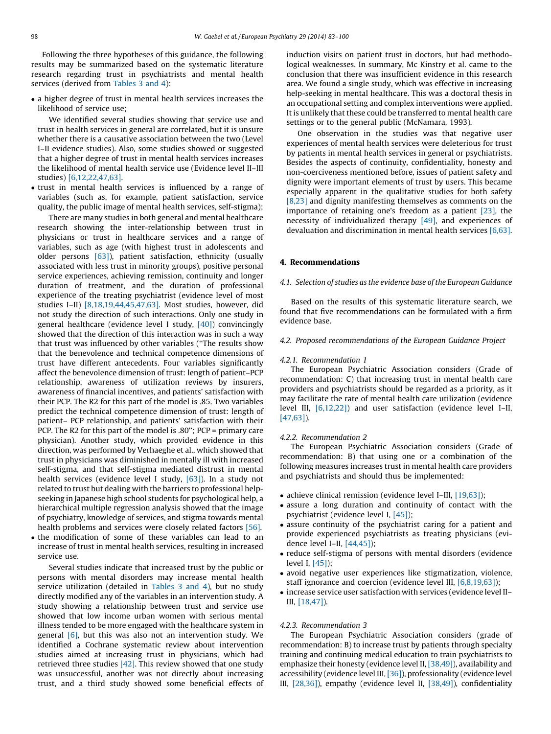Following the three hypotheses of this guidance, the following results may be summarized based on the systematic literature research regarding trust in psychiatrists and mental health services (derived from [Tables](#page-5-0) 3 and 4):

• a higher degree of trust in mental health services increases the likelihood of service use;

We identified several studies showing that service use and trust in health services in general are correlated, but it is unsure whether there is a causative association between the two (Level I–II evidence studies). Also, some studies showed or suggested that a higher degree of trust in mental health services increases the likelihood of mental health service use (Evidence level II–III studies) [\[6,12,22,47,63\].](#page-17-0)

• trust in mental health services is influenced by a range of variables (such as, for example, patient satisfaction, service quality, the public image of mental health services, self-stigma);

There are many studies in both general and mental healthcare research showing the inter-relationship between trust in physicians or trust in healthcare services and a range of variables, such as age (with highest trust in adolescents and older persons [\[63\]](#page-17-0)), patient satisfaction, ethnicity (usually associated with less trust in minority groups), positive personal service experiences, achieving remission, continuity and longer duration of treatment, and the duration of professional experience of the treating psychiatrist (evidence level of most studies I–II) [\[8,18,19,44,45,47,63\].](#page-17-0) Most studies, however, did not study the direction of such interactions. Only one study in general healthcare (evidence level I study, [\[40\]](#page-17-0)) convincingly showed that the direction of this interaction was in such a way that trust was influenced by other variables (''The results show that the benevolence and technical competence dimensions of trust have different antecedents. Four variables significantly affect the benevolence dimension of trust: length of patient–PCP relationship, awareness of utilization reviews by insurers, awareness of financial incentives, and patients' satisfaction with their PCP. The R2 for this part of the model is .85. Two variables predict the technical competence dimension of trust: length of patient– PCP relationship, and patients' satisfaction with their PCP. The R2 for this part of the model is .80''; PCP = primary care physician). Another study, which provided evidence in this direction, was performed by Verhaeghe et al., which showed that trust in physicians was diminished in mentally ill with increased self-stigma, and that self-stigma mediated distrust in mental health services (evidence level I study, [\[63\]](#page-17-0)). In a study not related to trust but dealing with the barriers to professional helpseeking in Japanese high school students for psychological help, a hierarchical multiple regression analysis showed that the image of psychiatry, knowledge of services, and stigma towards mental health problems and services were closely related factors [\[56\]](#page-17-0).

• the modification of some of these variables can lead to an increase of trust in mental health services, resulting in increased service use.

Several studies indicate that increased trust by the public or persons with mental disorders may increase mental health service utilization (detailed in [Tables](#page-5-0) 3 and 4), but no study directly modified any of the variables in an intervention study. A study showing a relationship between trust and service use showed that low income urban women with serious mental illness tended to be more engaged with the healthcare system in general [\[6\],](#page-17-0) but this was also not an intervention study. We identified a Cochrane systematic review about intervention studies aimed at increasing trust in physicians, which had retrieved three studies  $[42]$ . This review showed that one study was unsuccessful, another was not directly about increasing trust, and a third study showed some beneficial effects of induction visits on patient trust in doctors, but had methodological weaknesses. In summary, Mc Kinstry et al. came to the conclusion that there was insufficient evidence in this research area. We found a single study, which was effective in increasing help-seeking in mental healthcare. This was a doctoral thesis in an occupational setting and complex interventions were applied. It is unlikely that these could be transferred to mental health care settings or to the general public (McNamara, 1993).

One observation in the studies was that negative user experiences of mental health services were deleterious for trust by patients in mental health services in general or psychiatrists. Besides the aspects of continuity, confidentiality, honesty and non-coerciveness mentioned before, issues of patient safety and dignity were important elements of trust by users. This became especially apparent in the qualitative studies for both safety [\[8,23\]](#page-17-0) and dignity manifesting themselves as comments on the importance of retaining one's freedom as a patient [\[23\]](#page-17-0), the necessity of individualized therapy [\[49\],](#page-17-0) and experiences of devaluation and discrimination in mental health services [\[6,63\].](#page-17-0)

## 4. Recommendations

## 4.1. Selection of studies as the evidence base of the European Guidance

Based on the results of this systematic literature search, we found that five recommendations can be formulated with a firm evidence base.

## 4.2. Proposed recommendations of the European Guidance Project

#### 4.2.1. Recommendation 1

The European Psychiatric Association considers (Grade of recommendation: C) that increasing trust in mental health care providers and psychiatrists should be regarded as a priority, as it may facilitate the rate of mental health care utilization (evidence level III, [\[6,12,22\]](#page-17-0)) and user satisfaction (evidence level I–II, [\[47,63\]\)](#page-17-0).

## 4.2.2. Recommendation 2

The European Psychiatric Association considers (Grade of recommendation: B) that using one or a combination of the following measures increases trust in mental health care providers and psychiatrists and should thus be implemented:

- achieve clinical remission (evidence level I–III, [\[19,63\]](#page-17-0));
- assure a long duration and continuity of contact with the psychiatrist (evidence level I, [\[45\]\)](#page-17-0);
- assure continuity of the psychiatrist caring for a patient and provide experienced psychiatrists as treating physicians (evidence level I–II, [\[44,45\]](#page-17-0));
- reduce self-stigma of persons with mental disorders (evidence level I, [\[45\]\)](#page-17-0);
- avoid negative user experiences like stigmatization, violence, staff ignorance and coercion (evidence level III, [\[6,8,19,63\]](#page-17-0));
- increase service user satisfaction with services (evidence level II– III, [\[18,47\]\)](#page-17-0).

#### 4.2.3. Recommendation 3

The European Psychiatric Association considers (grade of recommendation: B) to increase trust by patients through specialty training and continuing medical education to train psychiatrists to emphasize their honesty (evidence level II, [\[38,49\]\)](#page-17-0), availability and accessibility (evidence level III, [\[36\]](#page-17-0)), professionality (evidence level III, [\[28,36\]](#page-17-0)), empathy (evidence level II, [\[38,49\]\)](#page-17-0), confidentiality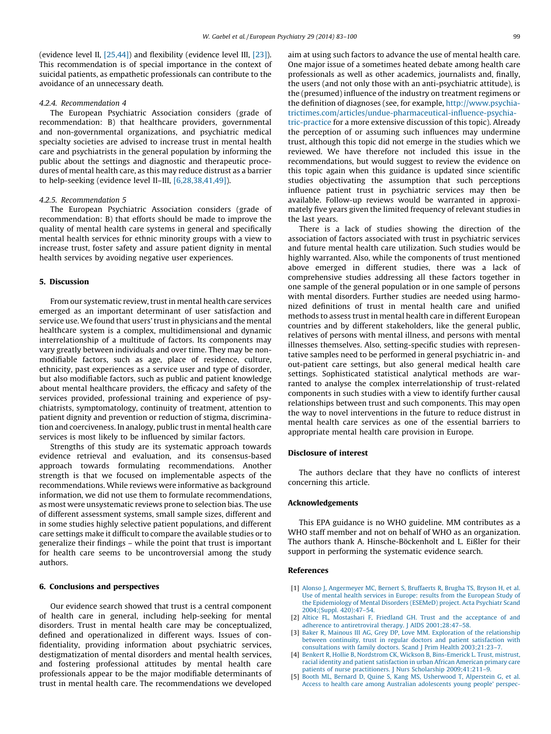<span id="page-16-0"></span>(evidence level II, [\[25,44\]](#page-17-0)) and flexibility (evidence level III, [\[23\]\)](#page-17-0). This recommendation is of special importance in the context of suicidal patients, as empathetic professionals can contribute to the avoidance of an unnecessary death.

## 4.2.4. Recommendation 4

The European Psychiatric Association considers (grade of recommendation: B) that healthcare providers, governmental and non-governmental organizations, and psychiatric medical specialty societies are advised to increase trust in mental health care and psychiatrists in the general population by informing the public about the settings and diagnostic and therapeutic procedures of mental health care, as this may reduce distrust as a barrier to help-seeking (evidence level II–III, [\[6,28,38,41,49\]\)](#page-17-0).

#### 4.2.5. Recommendation 5

The European Psychiatric Association considers (grade of recommendation: B) that efforts should be made to improve the quality of mental health care systems in general and specifically mental health services for ethnic minority groups with a view to increase trust, foster safety and assure patient dignity in mental health services by avoiding negative user experiences.

## 5. Discussion

From our systematic review, trust in mental health care services emerged as an important determinant of user satisfaction and service use. We found that users'trustin physicians and the mental healthcare system is a complex, multidimensional and dynamic interrelationship of a multitude of factors. Its components may vary greatly between individuals and over time. They may be nonmodifiable factors, such as age, place of residence, culture, ethnicity, past experiences as a service user and type of disorder, but also modifiable factors, such as public and patient knowledge about mental healthcare providers, the efficacy and safety of the services provided, professional training and experience of psychiatrists, symptomatology, continuity of treatment, attention to patient dignity and prevention or reduction of stigma, discrimination and coerciveness. In analogy, public trustin mental health care services is most likely to be influenced by similar factors.

Strengths of this study are its systematic approach towards evidence retrieval and evaluation, and its consensus-based approach towards formulating recommendations. Another strength is that we focused on implementable aspects of the recommendations. While reviews were informative as background information, we did not use them to formulate recommendations, as most were unsystematic reviews prone to selection bias. The use of different assessment systems, small sample sizes, different and in some studies highly selective patient populations, and different care settings make it difficult to compare the available studies or to generalize their findings – while the point that trust is important for health care seems to be uncontroversial among the study authors.

## 6. Conclusions and perspectives

Our evidence search showed that trust is a central component of health care in general, including help-seeking for mental disorders. Trust in mental health care may be conceptualized, defined and operationalized in different ways. Issues of confidentiality, providing information about psychiatric services, destigmatization of mental disorders and mental health services, and fostering professional attitudes by mental health care professionals appear to be the major modifiable determinants of trust in mental health care. The recommendations we developed aim at using such factors to advance the use of mental health care. One major issue of a sometimes heated debate among health care professionals as well as other academics, journalists and, finally, the users (and not only those with an anti-psychiatric attitude), is the (presumed) influence of the industry on treatment regimens or the definition of diagnoses (see, for example, [http://www.psychia](http://www.psychiatrictimes.com/articles/undue-pharmaceutical-influence-psychiatric-practice)[trictimes.com/articles/undue-pharmaceutical-influence-psychia](http://www.psychiatrictimes.com/articles/undue-pharmaceutical-influence-psychiatric-practice)[tric-practice](http://www.psychiatrictimes.com/articles/undue-pharmaceutical-influence-psychiatric-practice) for a more extensive discussion of this topic). Already the perception of or assuming such influences may undermine trust, although this topic did not emerge in the studies which we reviewed. We have therefore not included this issue in the recommendations, but would suggest to review the evidence on this topic again when this guidance is updated since scientific studies objectivating the assumption that such perceptions influence patient trust in psychiatric services may then be available. Follow-up reviews would be warranted in approximately five years given the limited frequency of relevant studies in the last years.

There is a lack of studies showing the direction of the association of factors associated with trust in psychiatric services and future mental health care utilization. Such studies would be highly warranted. Also, while the components of trust mentioned above emerged in different studies, there was a lack of comprehensive studies addressing all these factors together in one sample of the general population or in one sample of persons with mental disorders. Further studies are needed using harmonized definitions of trust in mental health care and unified methods to assess trust in mental health care in different European countries and by different stakeholders, like the general public, relatives of persons with mental illness, and persons with mental illnesses themselves. Also, setting-specific studies with representative samples need to be performed in general psychiatric in- and out-patient care settings, but also general medical health care settings. Sophisticated statistical analytical methods are warranted to analyse the complex interrelationship of trust-related components in such studies with a view to identify further causal relationships between trust and such components. This may open the way to novel interventions in the future to reduce distrust in mental health care services as one of the essential barriers to appropriate mental health care provision in Europe.

#### Disclosure of interest

The authors declare that they have no conflicts of interest concerning this article.

## Acknowledgements

This EPA guidance is no WHO guideline. MM contributes as a WHO staff member and not on behalf of WHO as an organization. The authors thank A. Hinsche-Böckenholt and L. Eißler for their support in performing the systematic evidence search.

#### References

- [1] Alonso J, [Angermeyer](http://refhub.elsevier.com/S0924-9338(14)00003-0/sbref0005) MC, Bernert S, Bruffaerts R, Brugha TS, Bryson H, et al. Use of mental health services in Europe: results from the [European](http://refhub.elsevier.com/S0924-9338(14)00003-0/sbref0005) Study of the [Epidemiology](http://refhub.elsevier.com/S0924-9338(14)00003-0/sbref0005) of Mental Disorders (ESEMeD) project. Acta Psychiatr Scand [2004;\(Suppl.](http://refhub.elsevier.com/S0924-9338(14)00003-0/sbref0005) 420):47–54.
- [2] Altice FL, [Mostashari](http://refhub.elsevier.com/S0924-9338(14)00003-0/sbref0010) F, Friedland GH. Trust and the acceptance of and adherence to antiretroviral therapy. J AIDS [2001;28:47–58.](http://refhub.elsevier.com/S0924-9338(14)00003-0/sbref0010)
- [3] [Baker](http://refhub.elsevier.com/S0924-9338(14)00003-0/sbref0015) R, Mainous III AG, Grey DP, Love MM. Exploration of the [relationship](http://refhub.elsevier.com/S0924-9338(14)00003-0/sbref0015) between continuity, trust in regular doctors and patient [satisfaction](http://refhub.elsevier.com/S0924-9338(14)00003-0/sbref0015) with consultations with family doctors. Scand J Prim Health [2003;21:23–7.](http://refhub.elsevier.com/S0924-9338(14)00003-0/sbref0015)
- [4] Benkert R, Hollie B, Nordstrom CK, Wickson B, [Bins-Emerick](http://refhub.elsevier.com/S0924-9338(14)00003-0/sbref0020) L. Trust, mistrust, racial identity and patient [satisfaction](http://refhub.elsevier.com/S0924-9338(14)00003-0/sbref0020) in urban African American primary care patients of nurse practitioners. J Nurs Scholarship [2009;41:211–9.](http://refhub.elsevier.com/S0924-9338(14)00003-0/sbref0020)
- [5] Booth ML, Bernard D, Quine S, Kang MS, [Usherwood](http://refhub.elsevier.com/S0924-9338(14)00003-0/sbref0025) T, Alperstein G, et al. Access to health care among Australian [adolescents](http://refhub.elsevier.com/S0924-9338(14)00003-0/sbref0025) young people' perspec-